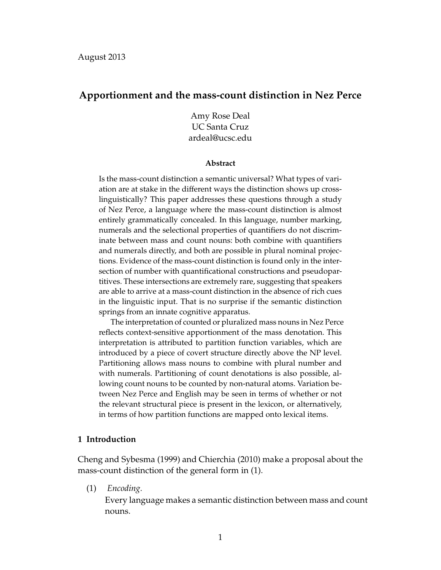## **Apportionment and the mass-count distinction in Nez Perce**

Amy Rose Deal UC Santa Cruz ardeal@ucsc.edu

#### **Abstract**

Is the mass-count distinction a semantic universal? What types of variation are at stake in the different ways the distinction shows up crosslinguistically? This paper addresses these questions through a study of Nez Perce, a language where the mass-count distinction is almost entirely grammatically concealed. In this language, number marking, numerals and the selectional properties of quantifiers do not discriminate between mass and count nouns: both combine with quantifiers and numerals directly, and both are possible in plural nominal projections. Evidence of the mass-count distinction is found only in the intersection of number with quantificational constructions and pseudopartitives. These intersections are extremely rare, suggesting that speakers are able to arrive at a mass-count distinction in the absence of rich cues in the linguistic input. That is no surprise if the semantic distinction springs from an innate cognitive apparatus.

The interpretation of counted or pluralized mass nouns in Nez Perce reflects context-sensitive apportionment of the mass denotation. This interpretation is attributed to partition function variables, which are introduced by a piece of covert structure directly above the NP level. Partitioning allows mass nouns to combine with plural number and with numerals. Partitioning of count denotations is also possible, allowing count nouns to be counted by non-natural atoms. Variation between Nez Perce and English may be seen in terms of whether or not the relevant structural piece is present in the lexicon, or alternatively, in terms of how partition functions are mapped onto lexical items.

## **1 Introduction**

Cheng and Sybesma (1999) and Chierchia (2010) make a proposal about the mass-count distinction of the general form in (1).

(1) *Encoding.*

Every language makes a semantic distinction between mass and count nouns.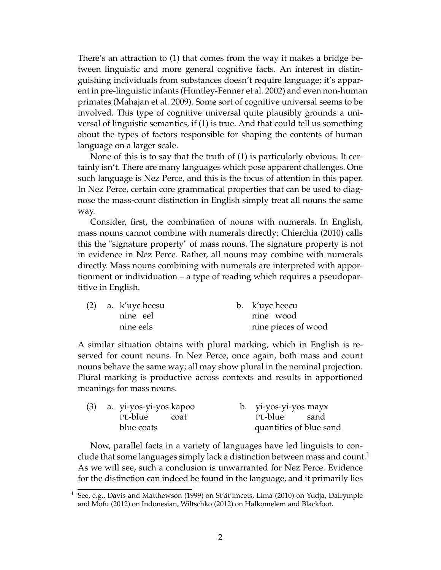There's an attraction to (1) that comes from the way it makes a bridge between linguistic and more general cognitive facts. An interest in distinguishing individuals from substances doesn't require language; it's apparent in pre-linguistic infants (Huntley-Fenner et al. 2002) and even non-human primates (Mahajan et al. 2009). Some sort of cognitive universal seems to be involved. This type of cognitive universal quite plausibly grounds a universal of linguistic semantics, if (1) is true. And that could tell us something about the types of factors responsible for shaping the contents of human language on a larger scale.

None of this is to say that the truth of (1) is particularly obvious. It certainly isn't. There are many languages which pose apparent challenges. One such language is Nez Perce, and this is the focus of attention in this paper. In Nez Perce, certain core grammatical properties that can be used to diagnose the mass-count distinction in English simply treat all nouns the same way.

Consider, first, the combination of nouns with numerals. In English, mass nouns cannot combine with numerals directly; Chierchia (2010) calls this the "signature property" of mass nouns. The signature property is not in evidence in Nez Perce. Rather, all nouns may combine with numerals directly. Mass nouns combining with numerals are interpreted with apportionment or individuation – a type of reading which requires a pseudopartitive in English.

|  | $(2)$ a. k'uycheesu | b. k'uyc heecu      |
|--|---------------------|---------------------|
|  | nine eel            | nine wood           |
|  | nine eels           | nine pieces of wood |

A similar situation obtains with plural marking, which in English is reserved for count nouns. In Nez Perce, once again, both mass and count nouns behave the same way; all may show plural in the nominal projection. Plural marking is productive across contexts and results in apportioned meanings for mass nouns.

|  | (3) a. yi-yos-yi-yos kapoo |  | b. yi-yos-yi-yos mayx   |  |
|--|----------------------------|--|-------------------------|--|
|  | PL-blue coat               |  | PL-blue sand            |  |
|  | blue coats                 |  | quantities of blue sand |  |

Now, parallel facts in a variety of languages have led linguists to conclude that some languages simply lack a distinction between mass and count.<sup>1</sup> As we will see, such a conclusion is unwarranted for Nez Perce. Evidence for the distinction can indeed be found in the language, and it primarily lies

<sup>1</sup> See, e.g., Davis and Matthewson (1999) on St'át'imcets, Lima (2010) on Yudja, Dalrymple and Mofu (2012) on Indonesian, Wiltschko (2012) on Halkomelem and Blackfoot.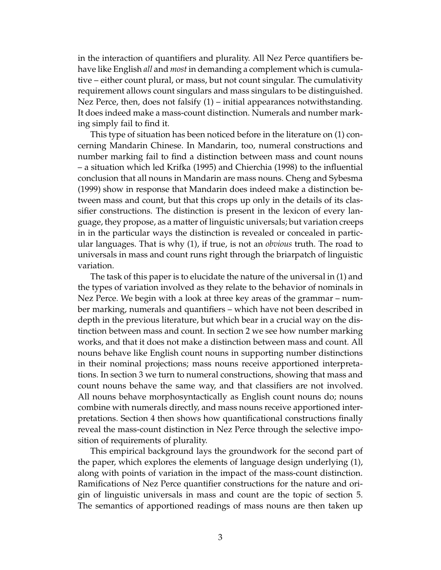in the interaction of quantifiers and plurality. All Nez Perce quantifiers behave like English *all* and *most* in demanding a complement which is cumulative – either count plural, or mass, but not count singular. The cumulativity requirement allows count singulars and mass singulars to be distinguished. Nez Perce, then, does not falsify (1) – initial appearances notwithstanding. It does indeed make a mass-count distinction. Numerals and number marking simply fail to find it.

This type of situation has been noticed before in the literature on (1) concerning Mandarin Chinese. In Mandarin, too, numeral constructions and number marking fail to find a distinction between mass and count nouns – a situation which led Krifka (1995) and Chierchia (1998) to the influential conclusion that all nouns in Mandarin are mass nouns. Cheng and Sybesma (1999) show in response that Mandarin does indeed make a distinction between mass and count, but that this crops up only in the details of its classifier constructions. The distinction is present in the lexicon of every language, they propose, as a matter of linguistic universals; but variation creeps in in the particular ways the distinction is revealed or concealed in particular languages. That is why (1), if true, is not an *obvious* truth. The road to universals in mass and count runs right through the briarpatch of linguistic variation.

The task of this paper is to elucidate the nature of the universal in (1) and the types of variation involved as they relate to the behavior of nominals in Nez Perce. We begin with a look at three key areas of the grammar – number marking, numerals and quantifiers – which have not been described in depth in the previous literature, but which bear in a crucial way on the distinction between mass and count. In section 2 we see how number marking works, and that it does not make a distinction between mass and count. All nouns behave like English count nouns in supporting number distinctions in their nominal projections; mass nouns receive apportioned interpretations. In section 3 we turn to numeral constructions, showing that mass and count nouns behave the same way, and that classifiers are not involved. All nouns behave morphosyntactically as English count nouns do; nouns combine with numerals directly, and mass nouns receive apportioned interpretations. Section 4 then shows how quantificational constructions finally reveal the mass-count distinction in Nez Perce through the selective imposition of requirements of plurality.

This empirical background lays the groundwork for the second part of the paper, which explores the elements of language design underlying (1), along with points of variation in the impact of the mass-count distinction. Ramifications of Nez Perce quantifier constructions for the nature and origin of linguistic universals in mass and count are the topic of section 5. The semantics of apportioned readings of mass nouns are then taken up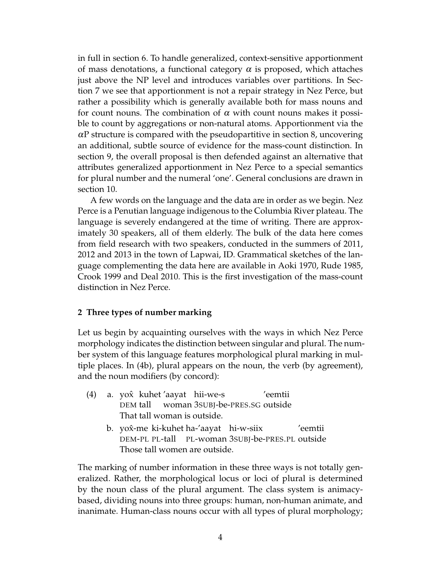in full in section 6. To handle generalized, context-sensitive apportionment of mass denotations, a functional category  $\alpha$  is proposed, which attaches just above the NP level and introduces variables over partitions. In Section 7 we see that apportionment is not a repair strategy in Nez Perce, but rather a possibility which is generally available both for mass nouns and for count nouns. The combination of  $\alpha$  with count nouns makes it possible to count by aggregations or non-natural atoms. Apportionment via the  $\alpha$ P structure is compared with the pseudopartitive in section 8, uncovering an additional, subtle source of evidence for the mass-count distinction. In section 9, the overall proposal is then defended against an alternative that attributes generalized apportionment in Nez Perce to a special semantics for plural number and the numeral 'one'. General conclusions are drawn in section 10.

A few words on the language and the data are in order as we begin. Nez Perce is a Penutian language indigenous to the Columbia River plateau. The language is severely endangered at the time of writing. There are approximately 30 speakers, all of them elderly. The bulk of the data here comes from field research with two speakers, conducted in the summers of 2011, 2012 and 2013 in the town of Lapwai, ID. Grammatical sketches of the language complementing the data here are available in Aoki 1970, Rude 1985, Crook 1999 and Deal 2010. This is the first investigation of the mass-count distinction in Nez Perce.

## **2 Three types of number marking**

Let us begin by acquainting ourselves with the ways in which Nez Perce morphology indicates the distinction between singular and plural. The number system of this language features morphological plural marking in multiple places. In (4b), plural appears on the noun, the verb (by agreement), and the noun modifiers (by concord):

- (4) a. yoxˆ kuhet 'aayat hii-we-s DEM tall woman 3SUBJ-be-PRES.SG outside 'eemtii That tall woman is outside.
	- b.) yox̂-me ki-kuhet ha-'aayat) hi-w-siix DEM-PL PL-tall PL-woman 3SUBJ-be-PRES.PL outside 'eemtii Those tall women are outside.

The marking of number information in these three ways is not totally generalized. Rather, the morphological locus or loci of plural is determined by the noun class of the plural argument. The class system is animacybased, dividing nouns into three groups: human, non-human animate, and inanimate. Human-class nouns occur with all types of plural morphology;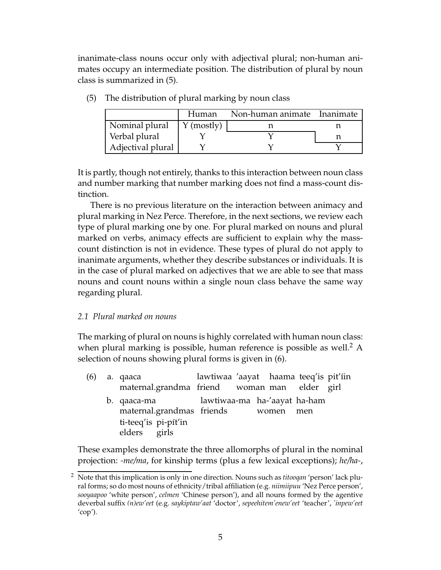inanimate-class nouns occur only with adjectival plural; non-human animates occupy an intermediate position. The distribution of plural by noun class is summarized in (5).

|                   | Human             | Non-human animate Inanimate |  |
|-------------------|-------------------|-----------------------------|--|
| Nominal plural    | $\gamma$ (mostly) |                             |  |
| Verbal plural     |                   |                             |  |
| Adjectival plural |                   |                             |  |

(5) The distribution of plural marking by noun class

It is partly, though not entirely, thanks to this interaction between noun class and number marking that number marking does not find a mass-count distinction.

There is no previous literature on the interaction between animacy and plural marking in Nez Perce. Therefore, in the next sections, we review each type of plural marking one by one. For plural marked on nouns and plural marked on verbs, animacy effects are sufficient to explain why the masscount distinction is not in evidence. These types of plural do not apply to inanimate arguments, whether they describe substances or individuals. It is in the case of plural marked on adjectives that we are able to see that mass nouns and count nouns within a single noun class behave the same way regarding plural.

# *2.1 Plural marked on nouns*

The marking of plural on nouns is highly correlated with human noun class: when plural marking is possible, human reference is possible as well.<sup>2</sup> A selection of nouns showing plural forms is given in (6).

(6) a. qaaca maternal.grandma friend lawtiwaa 'aayat haama teeq'is pit'íin woman man elder girl b. qaaca-ma maternal.grandmas friends lawtiwaa-ma ha-'aayat ha-ham women men ti-teeq'is pi-pít'in elders girls

These examples demonstrate the three allomorphs of plural in the nominal projection: *-me/ma*, for kinship terms (plus a few lexical exceptions); *he/ha-*,

<sup>2</sup> Note that this implication is only in one direction. Nouns such as *titooqan* 'person' lack plural forms; so do most nouns of ethnicity/tribal affiliation (e.g. *niimiipuu* 'Nez Perce person', *sooyaapoo* 'white person', *celmen* 'Chinese person'), and all nouns formed by the agentive deverbal suffix *(n)ew'eet* (e.g. *saykiptaw'aat* 'doctor', *sepeehitem'enew'eet* 'teacher', *'inpew'eet*  $'cop'.$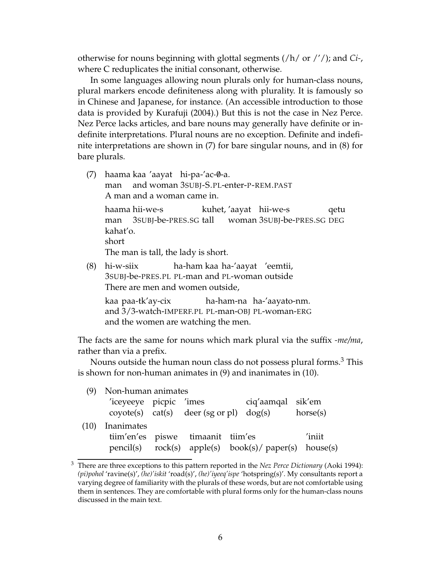otherwise for nouns beginning with glottal segments (/h/ or /'/); and *Ci-*, where C reduplicates the initial consonant, otherwise.

In some languages allowing noun plurals only for human-class nouns, plural markers encode definiteness along with plurality. It is famously so in Chinese and Japanese, for instance. (An accessible introduction to those data is provided by Kurafuji (2004).) But this is not the case in Nez Perce. Nez Perce lacks articles, and bare nouns may generally have definite or indefinite interpretations. Plural nouns are no exception. Definite and indefinite interpretations are shown in (7) for bare singular nouns, and in (8) for bare plurals.

- (7) haama kaa 'aayat hi-pa-'ac-0-a. man and woman 3SUBJ-S.PL-enter-P-REM.PAST A man and a woman came in. haama hii-we-s man 3SUBJ-be-PRES.SG tall woman 3SUBJ-be-PRES.SG DEG kuhet, 'aayat hii-we-s qetu kahat'o. short The man is tall, the lady is short.
- (8) hi-w-siix 3SUBJ-be-PRES.PL PL-man and PL-woman outside ha-ham kaa ha-'aayat 'eemtii, There are men and women outside,

kaa paa-tk'ay-cix and 3/3-watch-IMPERF.PL PL-man-OBJ PL-woman-ERG ha-ham-na ha-'aayato-nm. and the women are watching the men.

The facts are the same for nouns which mark plural via the suffix *-me/ma*, rather than via a prefix.

Nouns outside the human noun class do not possess plural forms.<sup>3</sup> This is shown for non-human animates in (9) and inanimates in (10).

| (9)  | Non-human animates     |                                           |                                                         |          |
|------|------------------------|-------------------------------------------|---------------------------------------------------------|----------|
|      | 'iceyeeye picpic 'imes | $covote(s)$ cat(s) deer (sg or pl) dog(s) | ciq'aamqal sik'em                                       | horse(s) |
| (10) | Inanimates             |                                           |                                                         |          |
|      |                        | tiim'en'es piswe timaanit tiim'es         |                                                         | 'iniit   |
|      |                        |                                           | $pencil(s)$ rock(s) apple(s) book(s)/ paper(s) house(s) |          |

<sup>3</sup> There are three exceptions to this pattern reported in the *Nez Perce Dictionary* (Aoki 1994): *(pi)pohol* 'ravine(s)', *(he)'iskit* 'road(s)', *(he)'iyeeq'ispe* 'hotspring(s)'. My consultants report a varying degree of familiarity with the plurals of these words, but are not comfortable using them in sentences. They are comfortable with plural forms only for the human-class nouns discussed in the main text.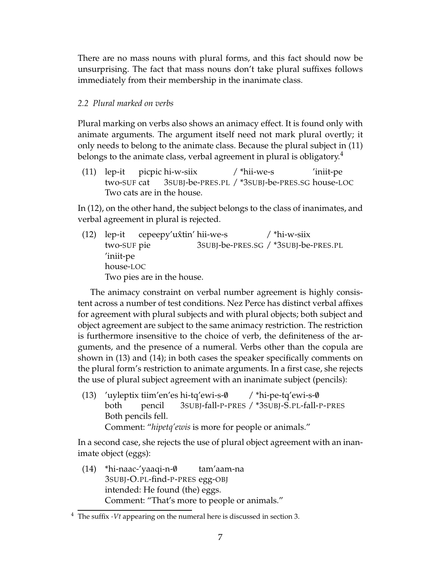There are no mass nouns with plural forms, and this fact should now be unsurprising. The fact that mass nouns don't take plural suffixes follows immediately from their membership in the inanimate class.

## *2.2 Plural marked on verbs*

Plural marking on verbs also shows an animacy effect. It is found only with animate arguments. The argument itself need not mark plural overtly; it only needs to belong to the animate class. Because the plural subject in (11) belongs to the animate class, verbal agreement in plural is obligatory.<sup>4</sup>

(11) lep-it two-SUF cat picpic hi-w-siix 3SUBJ-be-PRES.PL / \*3SUBJ-be-PRES.SG house-LOC / \*hii-we-s 'iniit-pe Two cats are in the house.

In (12), on the other hand, the subject belongs to the class of inanimates, and verbal agreement in plural is rejected.

(12) lep-it two-SUF pie cepeepy'ux̂tin' hii-we-s 3SUBJ-be-PRES.SG / \*3SUBJ-be-PRES.PL / \*hi-w-siix 'iniit-pe house-LOC Two pies are in the house.

The animacy constraint on verbal number agreement is highly consistent across a number of test conditions. Nez Perce has distinct verbal affixes for agreement with plural subjects and with plural objects; both subject and object agreement are subject to the same animacy restriction. The restriction is furthermore insensitive to the choice of verb, the definiteness of the arguments, and the presence of a numeral. Verbs other than the copula are shown in (13) and (14); in both cases the speaker specifically comments on the plural form's restriction to animate arguments. In a first case, she rejects the use of plural subject agreement with an inanimate subject (pencils):

(13) 'uyleptix tiim'en'es hi-tq'ewi-s-0 both pencil 3SUBJ-fall-P-PRES / \*3SUBJ-S.PL-fall-P-PRES / \*hi-pe-tq'ewi-s-0 Both pencils fell. Comment: "*hipetq'ewis* is more for people or animals."

In a second case, she rejects the use of plural object agreement with an inanimate object (eggs):

 $(14)$  \*hi-naac-'yaaqi-n- $\emptyset$ 3SUBJ-O.PL-find-P-PRES egg-OBJ tam'aam-na intended: He found (the) eggs. Comment: "That's more to people or animals."

<sup>4</sup> The suffix *-Vt* appearing on the numeral here is discussed in section 3.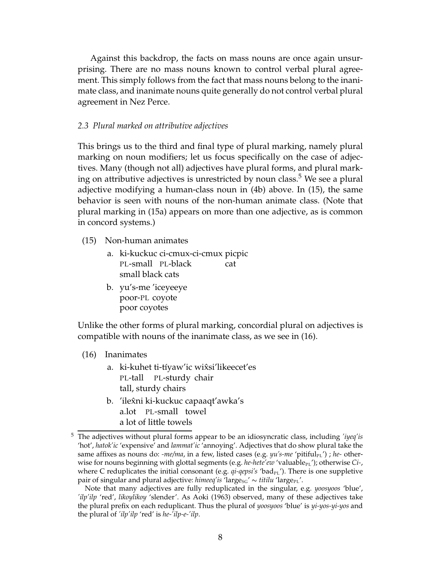Against this backdrop, the facts on mass nouns are once again unsurprising. There are no mass nouns known to control verbal plural agreement. This simply follows from the fact that mass nouns belong to the inanimate class, and inanimate nouns quite generally do not control verbal plural agreement in Nez Perce.

## *2.3 Plural marked on attributive adjectives*

This brings us to the third and final type of plural marking, namely plural marking on noun modifiers; let us focus specifically on the case of adjectives. Many (though not all) adjectives have plural forms, and plural marking on attributive adjectives is unrestricted by noun class. <sup>5</sup> We see a plural adjective modifying a human-class noun in (4b) above. In (15), the same behavior is seen with nouns of the non-human animate class. (Note that plural marking in (15a) appears on more than one adjective, as is common in concord systems.)

- (15) Non-human animates
	- a. ki-kuckuc ci-cmux-ci-cmux picpic PL-small PL-black cat small black cats
	- b. yu's-me 'iceyeeye poor-PL coyote poor coyotes

Unlike the other forms of plural marking, concordial plural on adjectives is compatible with nouns of the inanimate class, as we see in (16).

## (16) Inanimates

- a. ki-kuhet ti-tíyaw'ic wix̂si'likeecet'es PL-tall PL-sturdy chair tall, sturdy chairs
- b. *'*ilex̂ni ki-kuckuc capaaqt'awka's a.lot PL-small towel a lot of little towels

<sup>5</sup> The adjectives without plural forms appear to be an idiosyncratic class, including *'iyeq'is* 'hot', *hatok'ic* 'expensive' and *lammat'ic* 'annoying'. Adjectives that do show plural take the same affixes as nouns do: *-me/ma*, in a few, listed cases (e.g. *yu's-me '*pitiful<sub>PL</sub>') ; *he*- otherwise for nouns beginning with glottal segments (e.g. *he-hete'ew* 'valuable<sub>PL</sub>'); otherwise *Ci-*, where C reduplicates the initial consonant (e.g. *qi-qepsi's* 'bad<sub>PL</sub>'). There is one suppletive pair of singular and plural adjective: *himeeq'is* 'large<sub>SG</sub>'  $\sim$  *titilu* 'large<sub>PL</sub>'.

Note that many adjectives are fully reduplicated in the singular, e.g. *yoosyoos* 'blue', *'ilp'ilp* 'red', *likoylikoy* 'slender'. As Aoki (1963) observed, many of these adjectives take the plural prefix on each reduplicant. Thus the plural of *yoosyoos* 'blue' is *yi-yos-yi-yos* and the plural of *'ilp'ilp* 'red' is *he-'ilp-e-'ilp*.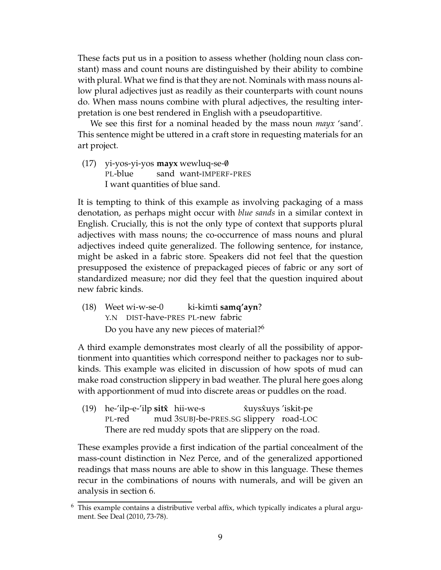These facts put us in a position to assess whether (holding noun class constant) mass and count nouns are distinguished by their ability to combine with plural. What we find is that they are not. Nominals with mass nouns allow plural adjectives just as readily as their counterparts with count nouns do. When mass nouns combine with plural adjectives, the resulting interpretation is one best rendered in English with a pseudopartitive.

We see this first for a nominal headed by the mass noun *mayx* 'sand'. This sentence might be uttered in a craft store in requesting materials for an art project.

(17) yi-yos-yi-yos **mayx** wewluq-se-/0 PL-blue sand want-IMPERF-PRES I want quantities of blue sand.

It is tempting to think of this example as involving packaging of a mass denotation, as perhaps might occur with *blue sands* in a similar context in English. Crucially, this is not the only type of context that supports plural adjectives with mass nouns; the co-occurrence of mass nouns and plural adjectives indeed quite generalized. The following sentence, for instance, might be asked in a fabric store. Speakers did not feel that the question presupposed the existence of prepackaged pieces of fabric or any sort of standardized measure; nor did they feel that the question inquired about new fabric kinds.

(18) Weet wi-w-se-0 Y.N DIST-have-PRES PL-new fabric ki-kimti **samq'ayn**? Do you have any new pieces of material?<sup>6</sup>

A third example demonstrates most clearly of all the possibility of apportionment into quantities which correspond neither to packages nor to subkinds. This example was elicited in discussion of how spots of mud can make road construction slippery in bad weather. The plural here goes along with apportionment of mud into discrete areas or puddles on the road.

(19) he-'ilp-e-'ilp **sitxˆ** hii-we-s PL-red mud 3SUBJ-be-PRES.SG slippery road-LOC xuys ˆ xuys ˆ 'iskit-pe There are red muddy spots that are slippery on the road.

These examples provide a first indication of the partial concealment of the mass-count distinction in Nez Perce, and of the generalized apportioned readings that mass nouns are able to show in this language. These themes recur in the combinations of nouns with numerals, and will be given an analysis in section 6.

 $6$  This example contains a distributive verbal affix, which typically indicates a plural argument. See Deal (2010, 73-78).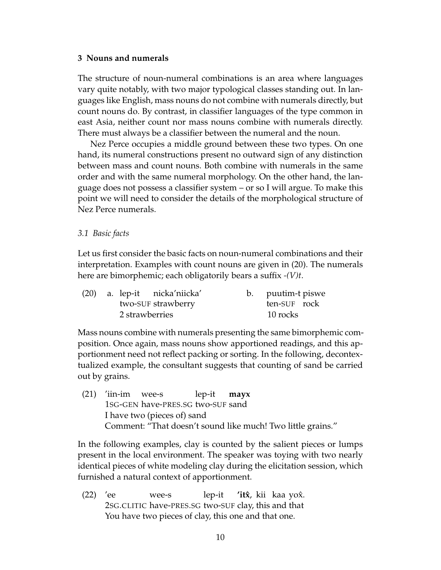## **3 Nouns and numerals**

The structure of noun-numeral combinations is an area where languages vary quite notably, with two major typological classes standing out. In languages like English, mass nouns do not combine with numerals directly, but count nouns do. By contrast, in classifier languages of the type common in east Asia, neither count nor mass nouns combine with numerals directly. There must always be a classifier between the numeral and the noun.

Nez Perce occupies a middle ground between these two types. On one hand, its numeral constructions present no outward sign of any distinction between mass and count nouns. Both combine with numerals in the same order and with the same numeral morphology. On the other hand, the language does not possess a classifier system – or so I will argue. To make this point we will need to consider the details of the morphological structure of Nez Perce numerals.

## *3.1 Basic facts*

Let us first consider the basic facts on noun-numeral combinations and their interpretation. Examples with count nouns are given in (20). The numerals here are bimorphemic; each obligatorily bears a suffix *-(V)t*.

|                |  | (20) a. lep-it nicka'niicka' |          | b. puutim-t piswe |  |
|----------------|--|------------------------------|----------|-------------------|--|
|                |  | two-SUF strawberry           |          | ten-SUF rock      |  |
| 2 strawberries |  |                              | 10 rocks |                   |  |

Mass nouns combine with numerals presenting the same bimorphemic composition. Once again, mass nouns show apportioned readings, and this apportionment need not reflect packing or sorting. In the following, decontextualized example, the consultant suggests that counting of sand be carried out by grains.

 $(21)$  'iin-im 1SG-GEN have-PRES.SG two-SUF sand wee-s lep-it **mayx** I have two (pieces of) sand Comment: "That doesn't sound like much! Two little grains."

In the following examples, clay is counted by the salient pieces or lumps present in the local environment. The speaker was toying with two nearly identical pieces of white modeling clay during the elicitation session, which furnished a natural context of apportionment.

(22) 'ee 2SG.CLITIC have-PRES.SG two-SUF clay, this and that wee-s lep-it 'itx<sup>\*</sup>, kii kaa yox<sup>\*</sup>. You have two pieces of clay, this one and that one.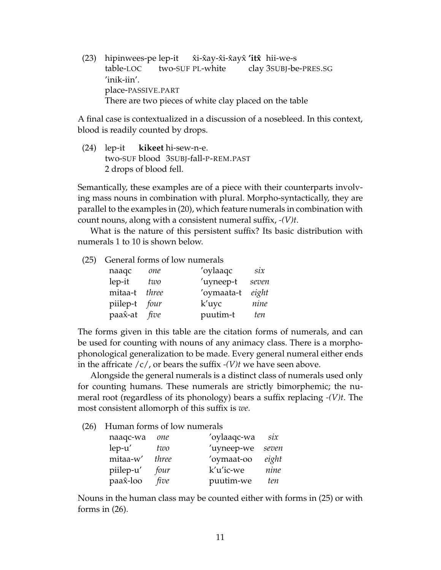(23) hipinwees-pe lep-it table-LOC two-SUF PL-white x̂i-x̂ay-x̂i-x̂ayx̂ **′itx̂** hii-we-s clay 3SUBJ-be-PRES.SG 'inik-iin'. place-PASSIVE.PART There are two pieces of white clay placed on the table

A final case is contextualized in a discussion of a nosebleed. In this context, blood is readily counted by drops.

(24) lep-it two-SUF blood 3SUBJ-fall-P-REM.PAST **kikeet** hi-sew-n-e. 2 drops of blood fell.

Semantically, these examples are of a piece with their counterparts involving mass nouns in combination with plural. Morpho-syntactically, they are parallel to the examples in (20), which feature numerals in combination with count nouns, along with a consistent numeral suffix, *-(V)t*.

What is the nature of this persistent suffix? Its basic distribution with numerals 1 to 10 is shown below.

(25) General forms of low numerals

| naaqc         | one   | 'oylaaqc   | $\sin$ |
|---------------|-------|------------|--------|
| lep-it        | two   | 'uyneep-t  | seven  |
| mitaa-t       | three | 'oymaata-t | eight  |
| piilep-t four |       | k'uyc      | nine   |
| paax̂-at      | five  | puutim-t   | ten    |

The forms given in this table are the citation forms of numerals, and can be used for counting with nouns of any animacy class. There is a morphophonological generalization to be made. Every general numeral either ends in the affricate /c/, or bears the suffix *-(V)t* we have seen above.

Alongside the general numerals is a distinct class of numerals used only for counting humans. These numerals are strictly bimorphemic; the numeral root (regardless of its phonology) bears a suffix replacing *-(V)t*. The most consistent allomorph of this suffix is *we*.

(26) Human forms of low numerals

| naaqc-wa     | one   | 'oylaaqc-wa | six   |
|--------------|-------|-------------|-------|
| $lep$ - $u'$ | two   | 'uyneep-we  | seven |
| mitaa-w'     | three | 'oymaat-oo  | eight |
| piilep-u'    | four  | k'u'ic-we   | nine  |
| paax-loo     | five  | puutim-we   | ten   |

Nouns in the human class may be counted either with forms in (25) or with forms in  $(26)$ .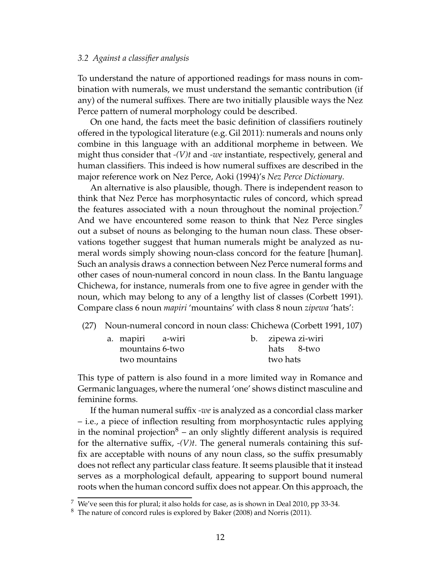#### *3.2 Against a classifier analysis*

To understand the nature of apportioned readings for mass nouns in combination with numerals, we must understand the semantic contribution (if any) of the numeral suffixes. There are two initially plausible ways the Nez Perce pattern of numeral morphology could be described.

On one hand, the facts meet the basic definition of classifiers routinely offered in the typological literature (e.g. Gil 2011): numerals and nouns only combine in this language with an additional morpheme in between. We might thus consider that *-(V)t* and *-we* instantiate, respectively, general and human classifiers. This indeed is how numeral suffixes are described in the major reference work on Nez Perce, Aoki (1994)'s *Nez Perce Dictionary*.

An alternative is also plausible, though. There is independent reason to think that Nez Perce has morphosyntactic rules of concord, which spread the features associated with a noun throughout the nominal projection.<sup>7</sup> And we have encountered some reason to think that Nez Perce singles out a subset of nouns as belonging to the human noun class. These observations together suggest that human numerals might be analyzed as numeral words simply showing noun-class concord for the feature [human]. Such an analysis draws a connection between Nez Perce numeral forms and other cases of noun-numeral concord in noun class. In the Bantu language Chichewa, for instance, numerals from one to five agree in gender with the noun, which may belong to any of a lengthy list of classes (Corbett 1991). Compare class 6 noun *mapiri* 'mountains' with class 8 noun *zipewa* 'hats':

(27) Noun-numeral concord in noun class: Chichewa (Corbett 1991, 107)

| a. mapiri a-wiri |  |          | b. zipewa zi-wiri |
|------------------|--|----------|-------------------|
| mountains 6-two  |  |          | hats 8-two        |
| two mountains    |  | two hats |                   |

This type of pattern is also found in a more limited way in Romance and Germanic languages, where the numeral 'one' shows distinct masculine and feminine forms.

If the human numeral suffix *-we* is analyzed as a concordial class marker – i.e., a piece of inflection resulting from morphosyntactic rules applying in the nominal projection<sup>8</sup> – an only slightly different analysis is required for the alternative suffix, *-(V)t*. The general numerals containing this suffix are acceptable with nouns of any noun class, so the suffix presumably does not reflect any particular class feature. It seems plausible that it instead serves as a morphological default, appearing to support bound numeral roots when the human concord suffix does not appear. On this approach, the

 $7$  We've seen this for plural; it also holds for case, as is shown in Deal 2010, pp 33-34.

<sup>8</sup> The nature of concord rules is explored by Baker (2008) and Norris (2011).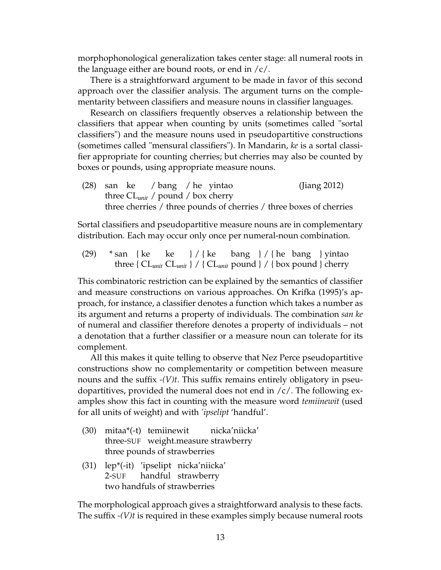morphophonological generalization takes center stage: all numeral roots in the language either are bound roots, or end in  $\frac{\ell}{c}$ .

There is a straightforward argument to be made in favor of this second approach over the classifier analysis. The argument turns on the complementarity between classifiers and measure nouns in classifier languages.

Research on classifiers frequently observes a relationship between the classifiers that appear when counting by units (sometimes called "sortal classifiers") and the measure nouns used in pseudopartitive constructions (sometimes called "mensural classifiers"). In Mandarin, *ke* is a sortal classifier appropriate for counting cherries; but cherries may also be counted by boxes or pounds, using appropriate measure nouns.

(28) san ke three CL*unit* / pound / box cherry / bang / he yintao (Jiang 2012) three cherries / three pounds of cherries / three boxes of cherries

Sortal classifiers and pseudopartitive measure nouns are in complementary distribution. Each may occur only once per numeral-noun combination.

(29) \* san { ke three {  $CL_{unit}$   $CL_{unit}$  } / {  $CL_{unit}$  pound } / { box pound } cherry ke } / { ke bang } / { he bang } yintao

This combinatoric restriction can be explained by the semantics of classifier and measure constructions on various approaches. On Krifka (1995)'s approach, for instance, a classifier denotes a function which takes a number as its argument and returns a property of individuals. The combination *san ke* of numeral and classifier therefore denotes a property of individuals – not a denotation that a further classifier or a measure noun can tolerate for its complement.

All this makes it quite telling to observe that Nez Perce pseudopartitive constructions show no complementarity or competition between measure nouns and the suffix *-(V)t*. This suffix remains entirely obligatory in pseudopartitives, provided the numeral does not end in  $/c/$ . The following examples show this fact in counting with the measure word *temiinewit* (used for all units of weight) and with *'ipselipt* 'handful'.

- (30) mitaa\*(-t) temiinewit three-SUF weight.measure strawberry nicka'niicka' three pounds of strawberries
- (31) lep\*(-it) 'ipselipt nicka'niicka' 2-SUF handful strawberry two handfuls of strawberries

The morphological approach gives a straightforward analysis to these facts. The suffix *-(V)t* is required in these examples simply because numeral roots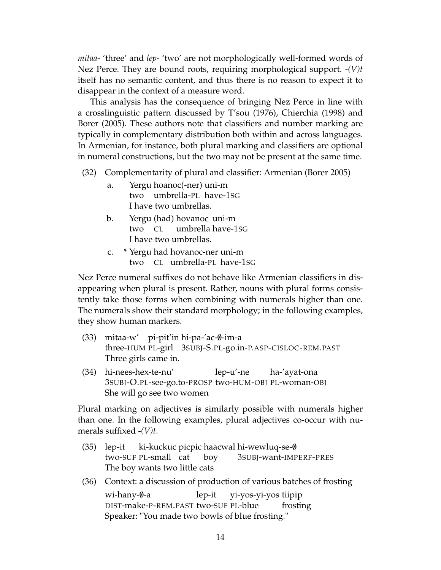*mitaa-* 'three' and *lep-* 'two' are not morphologically well-formed words of Nez Perce. They are bound roots, requiring morphological support. *-(V)t* itself has no semantic content, and thus there is no reason to expect it to disappear in the context of a measure word.

This analysis has the consequence of bringing Nez Perce in line with a crosslinguistic pattern discussed by T'sou (1976), Chierchia (1998) and Borer (2005). These authors note that classifiers and number marking are typically in complementary distribution both within and across languages. In Armenian, for instance, both plural marking and classifiers are optional in numeral constructions, but the two may not be present at the same time.

(32) Complementarity of plural and classifier: Armenian (Borer 2005)

- a. Yergu hoanoc(-ner) uni-m two umbrella-PL have-1SG I have two umbrellas.
- b. Yergu (had) hovanoc uni-m two CL umbrella have-1SG I have two umbrellas.
- c. \* Yergu had hovanoc-ner uni-m two CL umbrella-PL have-1SG

Nez Perce numeral suffixes do not behave like Armenian classifiers in disappearing when plural is present. Rather, nouns with plural forms consistently take those forms when combining with numerals higher than one. The numerals show their standard morphology; in the following examples, they show human markers.

- (33) mitaa-w' pi-pit'in hi-pa-'ac-0-im-a three-HUM PL-girl 3SUBJ-S.PL-go.in-P.ASP-CISLOC-REM.PAST Three girls came in.
- (34) hi-nees-hex-te-nu' 3SUBJ-O.PL-see-go.to-PROSP two-HUM-OBJ PL-woman-OBJ lep-u'-ne ha-'ayat-ona She will go see two women

Plural marking on adjectives is similarly possible with numerals higher than one. In the following examples, plural adjectives co-occur with numerals suffixed *-(V)t*.

- (35) lep-it two-SUF PL-small cat ki-kuckuc picpic haacwal hi-wewluq-se-0 boy 3SUBJ-want-IMPERF-PRES The boy wants two little cats
- (36) Context: a discussion of production of various batches of frosting wi-hany-0-a DIST-make-P-REM.PAST two-SUF PL-blue lep-it yi-yos-yi-yos tiipip frosting Speaker: "You made two bowls of blue frosting."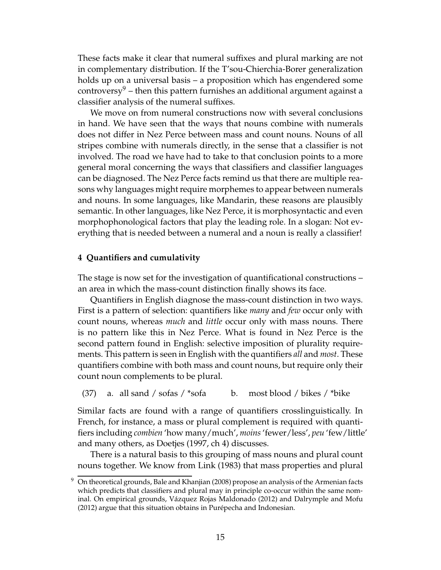These facts make it clear that numeral suffixes and plural marking are not in complementary distribution. If the T'sou-Chierchia-Borer generalization holds up on a universal basis – a proposition which has engendered some controversy<sup>9</sup> – then this pattern furnishes an additional argument against a classifier analysis of the numeral suffixes.

We move on from numeral constructions now with several conclusions in hand. We have seen that the ways that nouns combine with numerals does not differ in Nez Perce between mass and count nouns. Nouns of all stripes combine with numerals directly, in the sense that a classifier is not involved. The road we have had to take to that conclusion points to a more general moral concerning the ways that classifiers and classifier languages can be diagnosed. The Nez Perce facts remind us that there are multiple reasons why languages might require morphemes to appear between numerals and nouns. In some languages, like Mandarin, these reasons are plausibly semantic. In other languages, like Nez Perce, it is morphosyntactic and even morphophonological factors that play the leading role. In a slogan: Not everything that is needed between a numeral and a noun is really a classifier!

## **4 Quantifiers and cumulativity**

The stage is now set for the investigation of quantificational constructions – an area in which the mass-count distinction finally shows its face.

Quantifiers in English diagnose the mass-count distinction in two ways. First is a pattern of selection: quantifiers like *many* and *few* occur only with count nouns, whereas *much* and *little* occur only with mass nouns. There is no pattern like this in Nez Perce. What is found in Nez Perce is the second pattern found in English: selective imposition of plurality requirements. This pattern is seen in English with the quantifiers *all* and *most*. These quantifiers combine with both mass and count nouns, but require only their count noun complements to be plural.

(37) a. all sand / sofas /  $*$ sofa b. most blood / bikes /  $*$ bike

Similar facts are found with a range of quantifiers crosslinguistically. In French, for instance, a mass or plural complement is required with quantifiers including *combien* 'how many/much', *moins*'fewer/less', *peu* 'few/little' and many others, as Doetjes (1997, ch 4) discusses.

There is a natural basis to this grouping of mass nouns and plural count nouns together. We know from Link (1983) that mass properties and plural

 $9$  On theoretical grounds, Bale and Khanjian (2008) propose an analysis of the Armenian facts which predicts that classifiers and plural may in principle co-occur within the same nominal. On empirical grounds, Vázquez Rojas Maldonado (2012) and Dalrymple and Mofu (2012) argue that this situation obtains in Purépecha and Indonesian.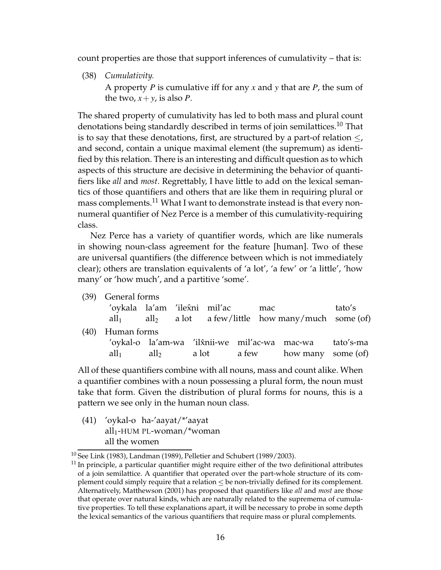count properties are those that support inferences of cumulativity – that is:

(38) *Cumulativity.* A property *P* is cumulative iff for any *x* and *y* that are *P*, the sum of the two,  $x + y$ , is also *P*.

The shared property of cumulativity has led to both mass and plural count denotations being standardly described in terms of join semilattices.<sup>10</sup> That is to say that these denotations, first, are structured by a part-of relation  $\leq$ , and second, contain a unique maximal element (the supremum) as identified by this relation. There is an interesting and difficult question as to which aspects of this structure are decisive in determining the behavior of quantifiers like *all* and *most*. Regrettably, I have little to add on the lexical semantics of those quantifiers and others that are like them in requiring plural or mass complements.<sup>11</sup> What I want to demonstrate instead is that every nonnumeral quantifier of Nez Perce is a member of this cumulativity-requiring class.

Nez Perce has a variety of quantifier words, which are like numerals in showing noun-class agreement for the feature [human]. Two of these are universal quantifiers (the difference between which is not immediately clear); others are translation equivalents of 'a lot', 'a few' or 'a little', 'how many' or 'how much', and a partitive 'some'.

|         |                                        |  | mac                           | tato's                                                                                                                                                                           |
|---------|----------------------------------------|--|-------------------------------|----------------------------------------------------------------------------------------------------------------------------------------------------------------------------------|
|         |                                        |  |                               |                                                                                                                                                                                  |
|         |                                        |  |                               |                                                                                                                                                                                  |
|         |                                        |  |                               |                                                                                                                                                                                  |
| $all_1$ |                                        |  |                               |                                                                                                                                                                                  |
|         | (39) General forms<br>(40) Human forms |  | 'oykala la'am 'ilex̂ni mil'ac | $all_1$ all <sub>2</sub> a lot a few/little how many/much some (of)<br>'oykal-o la'am-wa 'ilx̂nii-we mil'ac-wa mac-wa tato's-ma<br>$\text{all}_2$ a lot a few how many some (of) |

All of these quantifiers combine with all nouns, mass and count alike. When a quantifier combines with a noun possessing a plural form, the noun must take that form. Given the distribution of plural forms for nouns, this is a pattern we see only in the human noun class.

(41) 'oykal-o ha-'aayat/\*'aayat all<sub>1</sub>-HUM PL-woman/\*woman all the women

 $10$  See Link (1983), Landman (1989), Pelletier and Schubert (1989/2003).

 $11$  In principle, a particular quantifier might require either of the two definitional attributes of a join semilattice. A quantifier that operated over the part-whole structure of its complement could simply require that a relation be non-trivially defined for its complement. Alternatively, Matthewson (2001) has proposed that quantifiers like *all* and *most* are those that operate over natural kinds, which are naturally related to the supremema of cumulative properties. To tell these explanations apart, it will be necessary to probe in some depth the lexical semantics of the various quantifiers that require mass or plural complements.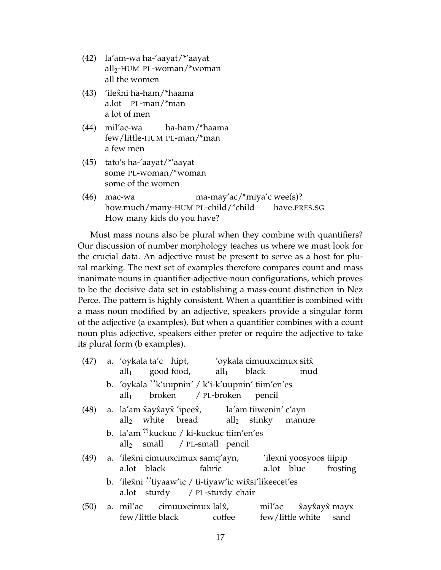- (42) la'am-wa ha-'aayat/\*'aayat all2-HUM PL-woman/\*woman all the women
- (43) 'ilexni ha-ham/\*haama a.lot PL-man/\*man a lot of men
- (44) mil'ac-wa few/little-HUM PL-man/\*man ha-ham/\*haama a few men
- (45) tato's ha-'aayat/\*'aayat some PL-woman/\*woman some of the women
- (46) mac-wa how.much/many-HUM PL-child/\*child ma-may'ac/\*miya'c wee(s)? have.PRES.SG How many kids do you have?

Must mass nouns also be plural when they combine with quantifiers? Our discussion of number morphology teaches us where we must look for the crucial data. An adjective must be present to serve as a host for plural marking. The next set of examples therefore compares count and mass inanimate nouns in quantifier-adjective-noun configurations, which proves to be the decisive data set in establishing a mass-count distinction in Nez Perce. The pattern is highly consistent. When a quantifier is combined with a mass noun modified by an adjective, speakers provide a singular form of the adjective (a examples). But when a quantifier combines with a count noun plus adjective, speakers either prefer or require the adjective to take its plural form (b examples).

| (47) | a. 'oykala ta'c hipt, 'oykala cimuuxcimux sit $\hat{x}$                                                           |
|------|-------------------------------------------------------------------------------------------------------------------|
|      | $all_1$ good food, $all_1$ black mud                                                                              |
|      | b. 'oykala <sup>??</sup> k'uupnin' / k'i-k'uupnin' tiim'en'es<br>$all_1$ broken / PL-broken pencil                |
| (48) | a. la'am x̂ayx̂ayx̂ 'ipeex̂, la'am tiiwenin' c'ayn<br>all <sub>2</sub> white bread all <sub>2</sub> stinky manure |
|      | b. la'am <sup>??</sup> kuckuc / ki-kuckuc tiim'en'es<br>$\text{all}_2$ small / PL-small pencil                    |
| (49) | a. 'ilexni cimuuxcimux samq'ayn, 'ilexni yoosyoos tiipip<br>a.lot blue frosting<br>a.lot black fabric             |
|      | b. 'ilexni <sup>'?'</sup> tiyaaw'ic / ti-tiyaw'ic wix̂si'likeecet'es<br>a.lot sturdy / PL-sturdy chair            |
| (50) | a. mil'ac cimuuxcimux lal $\hat{x}$ , mil'ac x̂ayx̂ayx̂ mayx<br>few/little black coffee few/little white sand     |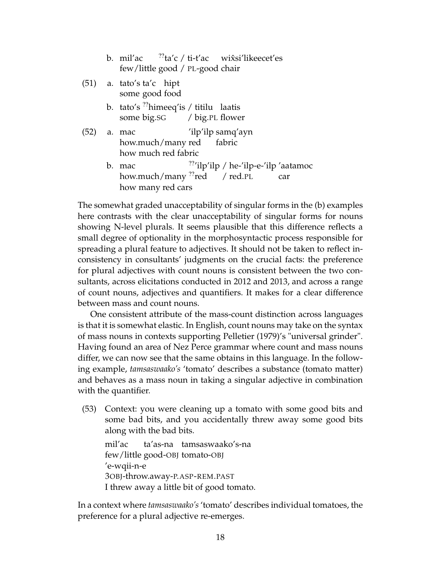|                                 |  | b. mil'ac $\frac{77}{10}$ ta'c / ti-t'ac wix̂si'likeecet'es |  |  |  |
|---------------------------------|--|-------------------------------------------------------------|--|--|--|
| few/little good / PL-good chair |  |                                                             |  |  |  |

- (51) a. tato's ta'c hipt some good food
	- b. tato's <sup>??</sup>himeeq'is / titilu laatis some big.SG / big.PL flower
- (52) a. mac how.much/many red 'ilp'ilp samq'ayn fabric how much red fabric
	- b. mac how.much/many<sup>??</sup>red ??'ilp'ilp / he-'ilp-e-'ilp 'aatamoc / red.PL car how many red cars

The somewhat graded unacceptability of singular forms in the (b) examples here contrasts with the clear unacceptability of singular forms for nouns showing N-level plurals. It seems plausible that this difference reflects a small degree of optionality in the morphosyntactic process responsible for spreading a plural feature to adjectives. It should not be taken to reflect inconsistency in consultants' judgments on the crucial facts: the preference for plural adjectives with count nouns is consistent between the two consultants, across elicitations conducted in 2012 and 2013, and across a range of count nouns, adjectives and quantifiers. It makes for a clear difference between mass and count nouns.

One consistent attribute of the mass-count distinction across languages is that it is somewhat elastic. In English, count nouns may take on the syntax of mass nouns in contexts supporting Pelletier (1979)'s "universal grinder". Having found an area of Nez Perce grammar where count and mass nouns differ, we can now see that the same obtains in this language. In the following example, *tamsaswaako's* 'tomato' describes a substance (tomato matter) and behaves as a mass noun in taking a singular adjective in combination with the quantifier.

(53) Context: you were cleaning up a tomato with some good bits and some bad bits, and you accidentally threw away some good bits along with the bad bits.

mil'ac few/little good-OBJ tomato-OBJ ta'as-na tamsaswaako's-na 'e-wqii-n-e 3OBJ-throw.away-P.ASP-REM.PAST I threw away a little bit of good tomato.

In a context where *tamsaswaako's*'tomato' describes individual tomatoes, the preference for a plural adjective re-emerges.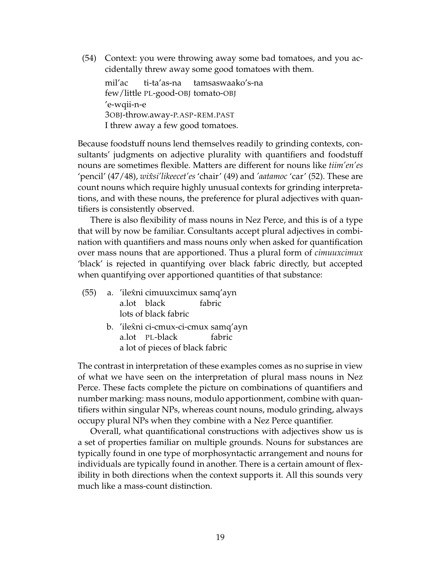(54) Context: you were throwing away some bad tomatoes, and you accidentally threw away some good tomatoes with them.

mil'ac few/little PL-good-OBJ tomato-OBJ ti-ta'as-na tamsaswaako's-na 'e-wqii-n-e 3OBJ-throw.away-P.ASP-REM.PAST I threw away a few good tomatoes.

Because foodstuff nouns lend themselves readily to grinding contexts, consultants' judgments on adjective plurality with quantifiers and foodstuff nouns are sometimes flexible. Matters are different for nouns like *tiim'en'es* 'pencil' (47/48), *wixsi'likeecet'es ˆ* 'chair' (49) and *'aatamoc* 'car' (52). These are count nouns which require highly unusual contexts for grinding interpretations, and with these nouns, the preference for plural adjectives with quantifiers is consistently observed.

There is also flexibility of mass nouns in Nez Perce, and this is of a type that will by now be familiar. Consultants accept plural adjectives in combination with quantifiers and mass nouns only when asked for quantification over mass nouns that are apportioned. Thus a plural form of *cimuuxcimux* 'black' is rejected in quantifying over black fabric directly, but accepted when quantifying over apportioned quantities of that substance:

- (55) a. 'ilexni cimuuxcimux samq'ayn a.lot black fabric lots of black fabric
	- b. *'*ilex̂ni ci-cmux-ci-cmux samq'ayn a.lot PL-black fabric a lot of pieces of black fabric

The contrast in interpretation of these examples comes as no suprise in view of what we have seen on the interpretation of plural mass nouns in Nez Perce. These facts complete the picture on combinations of quantifiers and number marking: mass nouns, modulo apportionment, combine with quantifiers within singular NPs, whereas count nouns, modulo grinding, always occupy plural NPs when they combine with a Nez Perce quantifier.

Overall, what quantificational constructions with adjectives show us is a set of properties familiar on multiple grounds. Nouns for substances are typically found in one type of morphosyntactic arrangement and nouns for individuals are typically found in another. There is a certain amount of flexibility in both directions when the context supports it. All this sounds very much like a mass-count distinction.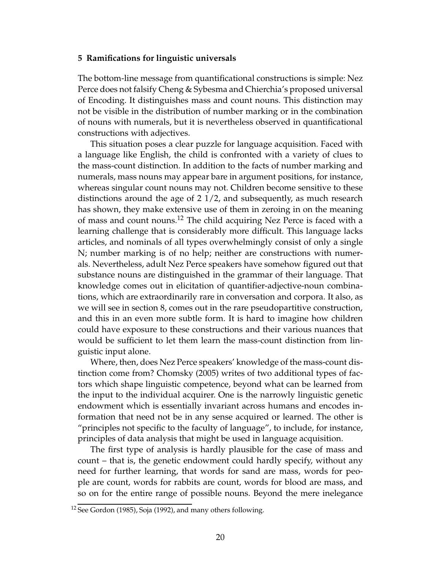#### **5 Ramifications for linguistic universals**

The bottom-line message from quantificational constructions is simple: Nez Perce does not falsify Cheng & Sybesma and Chierchia's proposed universal of Encoding. It distinguishes mass and count nouns. This distinction may not be visible in the distribution of number marking or in the combination of nouns with numerals, but it is nevertheless observed in quantificational constructions with adjectives.

This situation poses a clear puzzle for language acquisition. Faced with a language like English, the child is confronted with a variety of clues to the mass-count distinction. In addition to the facts of number marking and numerals, mass nouns may appear bare in argument positions, for instance, whereas singular count nouns may not. Children become sensitive to these distinctions around the age of 2 1/2, and subsequently, as much research has shown, they make extensive use of them in zeroing in on the meaning of mass and count nouns.<sup>12</sup> The child acquiring Nez Perce is faced with a learning challenge that is considerably more difficult. This language lacks articles, and nominals of all types overwhelmingly consist of only a single N; number marking is of no help; neither are constructions with numerals. Nevertheless, adult Nez Perce speakers have somehow figured out that substance nouns are distinguished in the grammar of their language. That knowledge comes out in elicitation of quantifier-adjective-noun combinations, which are extraordinarily rare in conversation and corpora. It also, as we will see in section 8, comes out in the rare pseudopartitive construction, and this in an even more subtle form. It is hard to imagine how children could have exposure to these constructions and their various nuances that would be sufficient to let them learn the mass-count distinction from linguistic input alone.

Where, then, does Nez Perce speakers' knowledge of the mass-count distinction come from? Chomsky (2005) writes of two additional types of factors which shape linguistic competence, beyond what can be learned from the input to the individual acquirer. One is the narrowly linguistic genetic endowment which is essentially invariant across humans and encodes information that need not be in any sense acquired or learned. The other is "principles not specific to the faculty of language", to include, for instance, principles of data analysis that might be used in language acquisition.

The first type of analysis is hardly plausible for the case of mass and count – that is, the genetic endowment could hardly specify, without any need for further learning, that words for sand are mass, words for people are count, words for rabbits are count, words for blood are mass, and so on for the entire range of possible nouns. Beyond the mere inelegance

<sup>&</sup>lt;sup>12</sup> See Gordon (1985), Soja (1992), and many others following.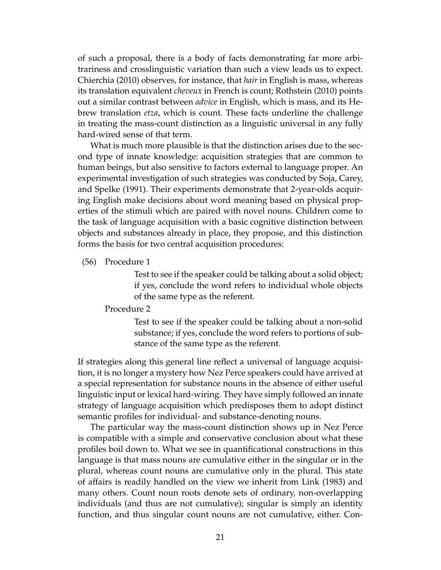of such a proposal, there is a body of facts demonstrating far more arbitrariness and crosslinguistic variation than such a view leads us to expect. Chierchia (2010) observes, for instance, that *hair* in English is mass, whereas its translation equivalent *cheveux* in French is count; Rothstein (2010) points out a similar contrast between *advice* in English, which is mass, and its Hebrew translation *etza*, which is count. These facts underline the challenge in treating the mass-count distinction as a linguistic universal in any fully hard-wired sense of that term.

What is much more plausible is that the distinction arises due to the second type of innate knowledge: acquisition strategies that are common to human beings, but also sensitive to factors external to language proper. An experimental investigation of such strategies was conducted by Soja, Carey, and Spelke (1991). Their experiments demonstrate that 2-year-olds acquiring English make decisions about word meaning based on physical properties of the stimuli which are paired with novel nouns. Children come to the task of language acquisition with a basic cognitive distinction between objects and substances already in place, they propose, and this distinction forms the basis for two central acquisition procedures:

(56) Procedure 1

Test to see if the speaker could be talking about a solid object; if yes, conclude the word refers to individual whole objects of the same type as the referent.

### Procedure 2

Test to see if the speaker could be talking about a non-solid substance; if yes, conclude the word refers to portions of substance of the same type as the referent.

If strategies along this general line reflect a universal of language acquisition, it is no longer a mystery how Nez Perce speakers could have arrived at a special representation for substance nouns in the absence of either useful linguistic input or lexical hard-wiring. They have simply followed an innate strategy of language acquisition which predisposes them to adopt distinct semantic profiles for individual- and substance-denoting nouns.

The particular way the mass-count distinction shows up in Nez Perce is compatible with a simple and conservative conclusion about what these profiles boil down to. What we see in quantificational constructions in this language is that mass nouns are cumulative either in the singular or in the plural, whereas count nouns are cumulative only in the plural. This state of affairs is readily handled on the view we inherit from Link (1983) and many others. Count noun roots denote sets of ordinary, non-overlapping individuals (and thus are not cumulative); singular is simply an identity function, and thus singular count nouns are not cumulative, either. Con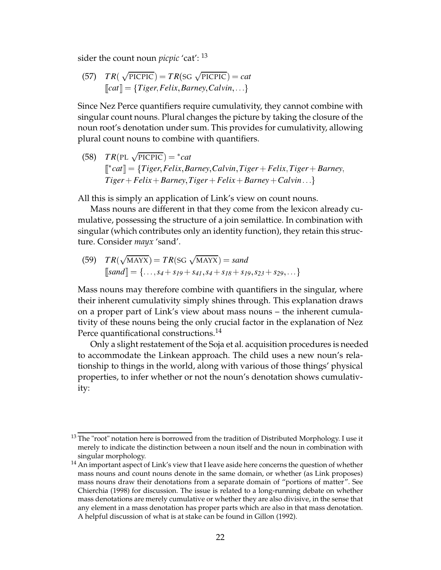sider the count noun *picpic* 'cat': <sup>13</sup>

(57) 
$$
TR(\sqrt{\text{PIC}PIC}) = TR(\text{SG } \sqrt{\text{PIC}PIC}) = cat
$$
  
\n $\llbracket cat \rrbracket = \{Tiger, Felix, Barnes, Calvin, ... \}$ 

Since Nez Perce quantifiers require cumulativity, they cannot combine with singular count nouns. Plural changes the picture by taking the closure of the noun root's denotation under sum. This provides for cumulativity, allowing plural count nouns to combine with quantifiers.

 $(TR(PL \sqrt{PICPIC})) = *cat$  $\llbracket *cat \rrbracket = \{Tiger, Felix, Barney, Calvin, Tiger + Felix, Tiger + Barnes,$  $Tiger + Felix + Barnes, Tiger + Felix + Barnes + Calvin...$ 

All this is simply an application of Link's view on count nouns.

Mass nouns are different in that they come from the lexicon already cumulative, possessing the structure of a join semilattice. In combination with singular (which contributes only an identity function), they retain this structure. Consider *mayx* 'sand'.

(59) 
$$
TR(\sqrt{MAX}x) = TR(SG \sqrt{MAX}x) = sand
$$
  
\n
$$
[sand] = \{ \dots, s_4 + s_{19} + s_{41}, s_4 + s_{18} + s_{19}, s_{23} + s_{29}, \dots \}
$$

Mass nouns may therefore combine with quantifiers in the singular, where their inherent cumulativity simply shines through. This explanation draws on a proper part of Link's view about mass nouns – the inherent cumulativity of these nouns being the only crucial factor in the explanation of Nez Perce quantificational constructions.<sup>14</sup>

Only a slight restatement of the Soja et al. acquisition procedures is needed to accommodate the Linkean approach. The child uses a new noun's relationship to things in the world, along with various of those things' physical properties, to infer whether or not the noun's denotation shows cumulativity:

 $13$  The "root" notation here is borrowed from the tradition of Distributed Morphology. I use it merely to indicate the distinction between a noun itself and the noun in combination with singular morphology.

 $<sup>14</sup>$  An important aspect of Link's view that I leave aside here concerns the question of whether</sup> mass nouns and count nouns denote in the same domain, or whether (as Link proposes) mass nouns draw their denotations from a separate domain of "portions of matter". See Chierchia (1998) for discussion. The issue is related to a long-running debate on whether mass denotations are merely cumulative or whether they are also divisive, in the sense that any element in a mass denotation has proper parts which are also in that mass denotation. A helpful discussion of what is at stake can be found in Gillon (1992).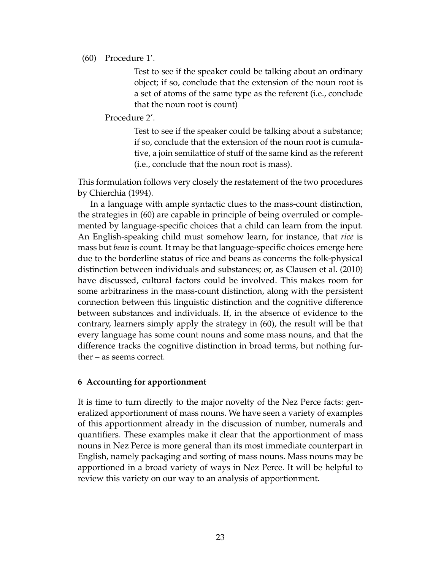## (60) Procedure 1'.

Test to see if the speaker could be talking about an ordinary object; if so, conclude that the extension of the noun root is a set of atoms of the same type as the referent (i.e., conclude that the noun root is count)

Procedure 2'.

Test to see if the speaker could be talking about a substance; if so, conclude that the extension of the noun root is cumulative, a join semilattice of stuff of the same kind as the referent (i.e., conclude that the noun root is mass).

This formulation follows very closely the restatement of the two procedures by Chierchia (1994).

In a language with ample syntactic clues to the mass-count distinction, the strategies in (60) are capable in principle of being overruled or complemented by language-specific choices that a child can learn from the input. An English-speaking child must somehow learn, for instance, that *rice* is mass but *bean* is count. It may be that language-specific choices emerge here due to the borderline status of rice and beans as concerns the folk-physical distinction between individuals and substances; or, as Clausen et al. (2010) have discussed, cultural factors could be involved. This makes room for some arbitrariness in the mass-count distinction, along with the persistent connection between this linguistic distinction and the cognitive difference between substances and individuals. If, in the absence of evidence to the contrary, learners simply apply the strategy in (60), the result will be that every language has some count nouns and some mass nouns, and that the difference tracks the cognitive distinction in broad terms, but nothing further – as seems correct.

## **6 Accounting for apportionment**

It is time to turn directly to the major novelty of the Nez Perce facts: generalized apportionment of mass nouns. We have seen a variety of examples of this apportionment already in the discussion of number, numerals and quantifiers. These examples make it clear that the apportionment of mass nouns in Nez Perce is more general than its most immediate counterpart in English, namely packaging and sorting of mass nouns. Mass nouns may be apportioned in a broad variety of ways in Nez Perce. It will be helpful to review this variety on our way to an analysis of apportionment.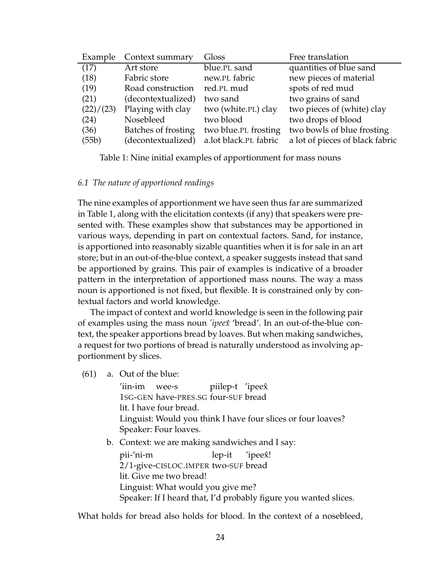| Example   | Context summary     | Gloss                 | Free translation                |
|-----------|---------------------|-----------------------|---------------------------------|
| (17)      | Art store           | blue.PL sand          | quantities of blue sand         |
| (18)      | Fabric store        | new.PL fabric         | new pieces of material          |
| (19)      | Road construction   | red.PL mud            | spots of red mud                |
| (21)      | (decontextualized)  | two sand              | two grains of sand              |
| (22)/(23) | Playing with clay   | two (white.PL) clay   | two pieces of (white) clay      |
| (24)      | Nosebleed           | two blood             | two drops of blood              |
| (36)      | Batches of frosting | two blue.PL frosting  | two bowls of blue frosting      |
| (55b)     | (decontextualized)  | a.lot black.PL fabric | a lot of pieces of black fabric |

Table 1: Nine initial examples of apportionment for mass nouns

## *6.1 The nature of apportioned readings*

The nine examples of apportionment we have seen thus far are summarized in Table 1, along with the elicitation contexts (if any) that speakers were presented with. These examples show that substances may be apportioned in various ways, depending in part on contextual factors. Sand, for instance, is apportioned into reasonably sizable quantities when it is for sale in an art store; but in an out-of-the-blue context, a speaker suggests instead that sand be apportioned by grains. This pair of examples is indicative of a broader pattern in the interpretation of apportioned mass nouns. The way a mass noun is apportioned is not fixed, but flexible. It is constrained only by contextual factors and world knowledge.

The impact of context and world knowledge is seen in the following pair of examples using the mass noun *'ipeexˆ* 'bread'. In an out-of-the-blue context, the speaker apportions bread by loaves. But when making sandwiches, a request for two portions of bread is naturally understood as involving apportionment by slices.

(61) a. Out of the blue:

'iin-im wee-s 1SG-GEN have-PRES.SG four-SUF bread piilep-t 'ipeexˆ lit. I have four bread. Linguist: Would you think I have four slices or four loaves? Speaker: Four loaves.

b. Context: we are making sandwiches and I say:

pii-'ni-m 2/1-give-CISLOC.IMPER two-SUF bread lep-it 'ipeex! lit. Give me two bread! Linguist: What would you give me? Speaker: If I heard that, I'd probably figure you wanted slices.

What holds for bread also holds for blood. In the context of a nosebleed,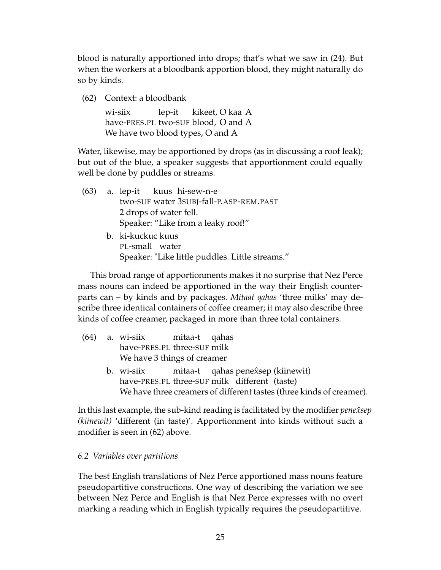blood is naturally apportioned into drops; that's what we saw in (24). But when the workers at a bloodbank apportion blood, they might naturally do so by kinds.

(62) Context: a bloodbank

wi-siix have-PRES.PL two-SUF blood, O and A lep-it kikeet, O kaa A We have two blood types, O and A

Water, likewise, may be apportioned by drops (as in discussing a roof leak); but out of the blue, a speaker suggests that apportionment could equally well be done by puddles or streams.

- (63) a. lep-it kuus hi-sew-n-e two-SUF water 3SUBJ-fall-P.ASP-REM.PAST 2 drops of water fell. Speaker: "Like from a leaky roof!"
	- b. ki-kuckuc kuus PL-small water Speaker: "Like little puddles. Little streams."

This broad range of apportionments makes it no surprise that Nez Perce mass nouns can indeed be apportioned in the way their English counterparts can – by kinds and by packages. *Mitaat qahas* 'three milks' may describe three identical containers of coffee creamer; it may also describe three kinds of coffee creamer, packaged in more than three total containers.

- $(64)$  a. wi-siix have-PRES.PL three-SUF milk mitaa-t qahas We have 3 things of creamer
	- b. wi-siix have-PRES.PL three-SUF milk different (taste) mitaa-t qahas penex̂sep (kiinewit) We have three creamers of different tastes (three kinds of creamer).

In this last example, the sub-kind reading is facilitated by the modifier *penexsep ˆ (kiinewit)* 'different (in taste)'. Apportionment into kinds without such a modifier is seen in (62) above.

# *6.2 Variables over partitions*

The best English translations of Nez Perce apportioned mass nouns feature pseudopartitive constructions. One way of describing the variation we see between Nez Perce and English is that Nez Perce expresses with no overt marking a reading which in English typically requires the pseudopartitive.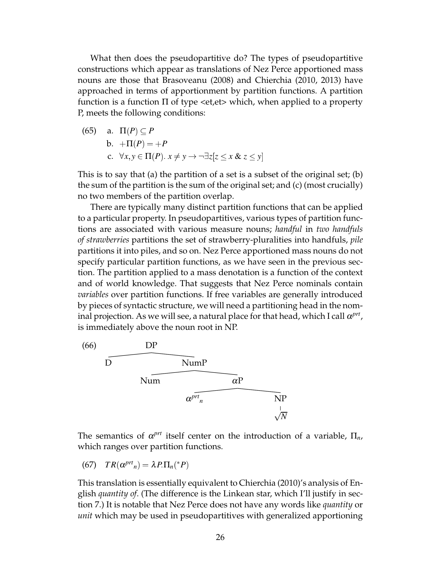What then does the pseudopartitive do? The types of pseudopartitive constructions which appear as translations of Nez Perce apportioned mass nouns are those that Brasoveanu (2008) and Chierchia (2010, 2013) have approached in terms of apportionment by partition functions. A partition function is a function Π of type <et,et> which, when applied to a property P, meets the following conditions:

(65) a. 
$$
\Pi(P) \subseteq P
$$
  
b.  $+\Pi(P) = +P$   
c.  $\forall x, y \in \Pi(P)$ .  $x \neq y \rightarrow \neg \exists z [z \le x \& z \le y]$ 

This is to say that (a) the partition of a set is a subset of the original set; (b) the sum of the partition is the sum of the original set; and (c) (most crucially) no two members of the partition overlap.

There are typically many distinct partition functions that can be applied to a particular property. In pseudopartitives, various types of partition functions are associated with various measure nouns; *handful* in *two handfuls of strawberries* partitions the set of strawberry-pluralities into handfuls, *pile* partitions it into piles, and so on. Nez Perce apportioned mass nouns do not specify particular partition functions, as we have seen in the previous section. The partition applied to a mass denotation is a function of the context and of world knowledge. That suggests that Nez Perce nominals contain *variables* over partition functions. If free variables are generally introduced by pieces of syntactic structure, we will need a partitioning head in the nominal projection. As we will see, a natural place for that head, which I call  $\alpha^{prt}$ , is immediately above the noun root in NP.



The semantics of  $\alpha^{prt}$  itself center on the introduction of a variable,  $\Pi_n$ , which ranges over partition functions.

(67) 
$$
TR(\alpha^{prt}_n) = \lambda P.\Pi_n({}^*P)
$$

This translation is essentially equivalent to Chierchia (2010)'s analysis of English *quantity of*. (The difference is the Linkean star, which I'll justify in section 7.) It is notable that Nez Perce does not have any words like *quantity* or *unit* which may be used in pseudopartitives with generalized apportioning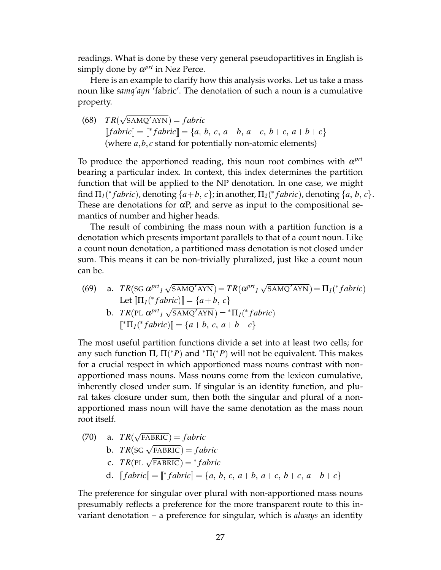readings. What is done by these very general pseudopartitives in English is simply done by  $\alpha^{prt}$  in Nez Perce.

Here is an example to clarify how this analysis works. Let us take a mass noun like *samq'ayn* 'fabric'. The denotation of such a noun is a cumulative property.

 $(68)$   $TR(\sqrt{\text{SAMQ}' \text{AYN}}) = fabric$  $[fabric] = [ *fabric] = {a, b, c, a+b, a+c, b+c, a+b+c}$ (where *a*; *b*; *c* stand for potentially non-atomic elements)

To produce the apportioned reading, this noun root combines with <sup>α</sup> *prt* bearing a particular index. In context, this index determines the partition function that will be applied to the NP denotation. In one case, we might find  $\Pi_I({}^*fabric)$ , denoting  $\{a+b, c\}$ ; in another,  $\Pi_2({}^*fabric)$ , denoting  $\{a, b, c\}$ . These are denotations for  $\alpha P$ , and serve as input to the compositional semantics of number and higher heads.

The result of combining the mass noun with a partition function is a denotation which presents important parallels to that of a count noun. Like a count noun denotation, a partitioned mass denotation is not closed under sum. This means it can be non-trivially pluralized, just like a count noun can be.

(69) a.  $TR(\text{SG }\alpha^{prt} \text{1 }\sqrt{\text{SAMQ'AYN}}) = TR(\alpha^{prt} \text{1 }\sqrt{\text{SAMQ'AYN}}) = \Pi_1(^*fabric)$ Let  $[\![\Pi_I({}^*fabric)]\!] = \{a+b, c\}$ 

b. 
$$
TR(PL \ \alpha^{prt}_1 \sqrt{SAMQ'ANN}) = {}^{*}\Pi_1({}^{*}fabric)
$$

$$
[{}^{*}\Pi_1({}^{*}fabric)] = \{a+b, c, a+b+c\}
$$

The most useful partition functions divide a set into at least two cells; for any such function  $\Pi$ ,  $\Pi$ <sup>\*</sup> $P$ ) and  ${}^* \Pi$ <sup>\*</sup> $P$ ) will not be equivalent. This makes for a crucial respect in which apportioned mass nouns contrast with nonapportioned mass nouns. Mass nouns come from the lexicon cumulative, inherently closed under sum. If singular is an identity function, and plural takes closure under sum, then both the singular and plural of a nonapportioned mass noun will have the same denotation as the mass noun root itself.

(70) a.  $TR(\sqrt{\text{FABRIC}}) = fabric$ b.  $TR(\text{SG }\sqrt{\text{FABRIC}}) = fabric$ c.  $TR(PL \sqrt{FABRIC}) = *fabric$ d.  $[[fabric]] = [{}^*fabric]] = \{a, b, c, a+b, a+c, b+c, a+b+c\}$ 

The preference for singular over plural with non-apportioned mass nouns presumably reflects a preference for the more transparent route to this invariant denotation – a preference for singular, which is *always* an identity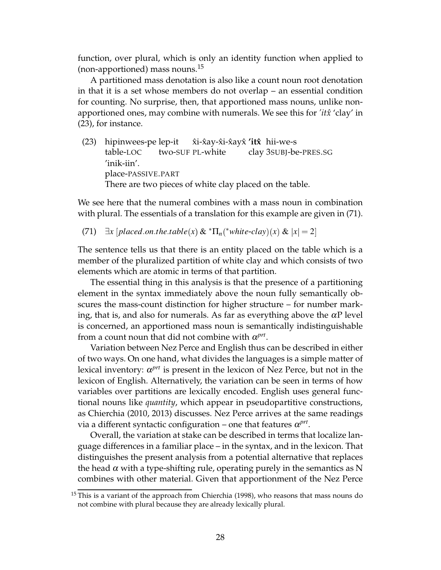function, over plural, which is only an identity function when applied to (non-apportioned) mass nouns.<sup>15</sup>

A partitioned mass denotation is also like a count noun root denotation in that it is a set whose members do not overlap – an essential condition for counting. No surprise, then, that apportioned mass nouns, unlike nonapportioned ones, may combine with numerals. We see this for *'itxˆ* 'clay' in (23), for instance.

(23) hipinwees-pe lep-it table-LOC two-SUF PL-white x̂i-x̂ay-x̂i-x̂ayx̂ **′itx̂** hii-we-s clay 3SUBJ-be-PRES.SG 'inik-iin'. place-PASSIVE.PART There are two pieces of white clay placed on the table.

We see here that the numeral combines with a mass noun in combination with plural. The essentials of a translation for this example are given in (71).

 $(71)$   $\exists x \left[ placed on.the. table(x) \& ^* \Pi_n(^* white-clay)(x) \& |x| = 2 \right]$ 

The sentence tells us that there is an entity placed on the table which is a member of the pluralized partition of white clay and which consists of two elements which are atomic in terms of that partition.

The essential thing in this analysis is that the presence of a partitioning element in the syntax immediately above the noun fully semantically obscures the mass-count distinction for higher structure – for number marking, that is, and also for numerals. As far as everything above the  $\alpha P$  level is concerned, an apportioned mass noun is semantically indistinguishable from a count noun that did not combine with  $\alpha^{prt}$ .

Variation between Nez Perce and English thus can be described in either of two ways. On one hand, what divides the languages is a simple matter of lexical inventory:  $\alpha^{prt}$  is present in the lexicon of Nez Perce, but not in the lexicon of English. Alternatively, the variation can be seen in terms of how variables over partitions are lexically encoded. English uses general functional nouns like *quantity*, which appear in pseudopartitive constructions, as Chierchia (2010, 2013) discusses. Nez Perce arrives at the same readings via a different syntactic configuration – one that features  $\alpha^{prt}$ .

Overall, the variation at stake can be described in terms that localize language differences in a familiar place – in the syntax, and in the lexicon. That distinguishes the present analysis from a potential alternative that replaces the head  $\alpha$  with a type-shifting rule, operating purely in the semantics as N combines with other material. Given that apportionment of the Nez Perce

 $15$  This is a variant of the approach from Chierchia (1998), who reasons that mass nouns do not combine with plural because they are already lexically plural.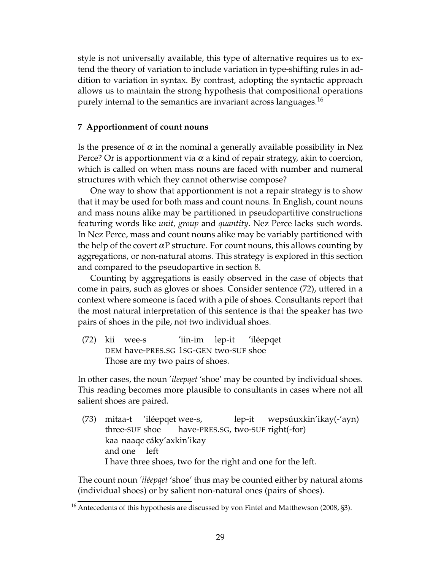style is not universally available, this type of alternative requires us to extend the theory of variation to include variation in type-shifting rules in addition to variation in syntax. By contrast, adopting the syntactic approach allows us to maintain the strong hypothesis that compositional operations purely internal to the semantics are invariant across languages.<sup>16</sup>

## **7 Apportionment of count nouns**

Is the presence of  $\alpha$  in the nominal a generally available possibility in Nez Perce? Or is apportionment via  $\alpha$  a kind of repair strategy, akin to coercion, which is called on when mass nouns are faced with number and numeral structures with which they cannot otherwise compose?

One way to show that apportionment is not a repair strategy is to show that it may be used for both mass and count nouns. In English, count nouns and mass nouns alike may be partitioned in pseudopartitive constructions featuring words like *unit, group* and *quantity*. Nez Perce lacks such words. In Nez Perce, mass and count nouns alike may be variably partitioned with the help of the covert  $\alpha P$  structure. For count nouns, this allows counting by aggregations, or non-natural atoms. This strategy is explored in this section and compared to the pseudopartive in section 8.

Counting by aggregations is easily observed in the case of objects that come in pairs, such as gloves or shoes. Consider sentence (72), uttered in a context where someone is faced with a pile of shoes. Consultants report that the most natural interpretation of this sentence is that the speaker has two pairs of shoes in the pile, not two individual shoes.

(72) kii wee-s DEM have-PRES.SG 1SG-GEN two-SUF shoe 'iin-im lep-it 'iléepqet Those are my two pairs of shoes.

In other cases, the noun *'ileepqet* 'shoe' may be counted by individual shoes. This reading becomes more plausible to consultants in cases where not all salient shoes are paired.

(73) mitaa-t 'iléepqet wee-s, three-SUF shoe have-PRES.SG, two-SUF right(-for) lep-it wepsúuxkin'ikay(-'ayn) kaa naaqc cáky'axkin'ikay and one left I have three shoes, two for the right and one for the left.

The count noun *'iléepqet* 'shoe' thus may be counted either by natural atoms (individual shoes) or by salient non-natural ones (pairs of shoes).

<sup>&</sup>lt;sup>16</sup> Antecedents of this hypothesis are discussed by von Fintel and Matthewson (2008, §3).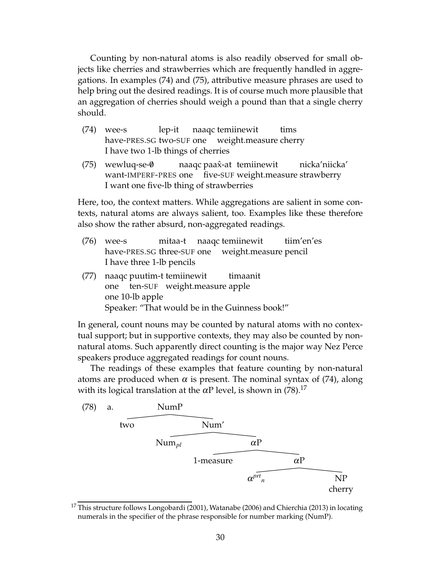Counting by non-natural atoms is also readily observed for small objects like cherries and strawberries which are frequently handled in aggregations. In examples (74) and (75), attributive measure phrases are used to help bring out the desired readings. It is of course much more plausible that an aggregation of cherries should weigh a pound than that a single cherry should.

- (74) wee-s have-PRES.SG two-SUF one lep-it naaqc temiinewit weight.measure cherry tims I have two 1-lb things of cherries
- $(75)$  wewluq-se- $\emptyset$ want-IMPERF-PRES one five-SUF weight.measure strawberry naaqc paax̂-at temiinewit nicka'niicka' I want one five-lb thing of strawberries

Here, too, the context matters. While aggregations are salient in some contexts, natural atoms are always salient, too. Examples like these therefore also show the rather absurd, non-aggregated readings.

- (76) wee-s have-PRES.SG three-SUF one mitaa-t naaqc temiinewit weight.measure pencil tiim'en'es I have three 1-lb pencils
- (77) naaqc puutim-t temiinewit one ten-SUF weight.measure apple timaanit one 10-lb apple Speaker: "That would be in the Guinness book!"

In general, count nouns may be counted by natural atoms with no contextual support; but in supportive contexts, they may also be counted by nonnatural atoms. Such apparently direct counting is the major way Nez Perce speakers produce aggregated readings for count nouns.

The readings of these examples that feature counting by non-natural atoms are produced when  $\alpha$  is present. The nominal syntax of (74), along with its logical translation at the  $\alpha$ P level, is shown in (78).<sup>17</sup>



 $17$  This structure follows Longobardi (2001), Watanabe (2006) and Chierchia (2013) in locating numerals in the specifier of the phrase responsible for number marking (NumP).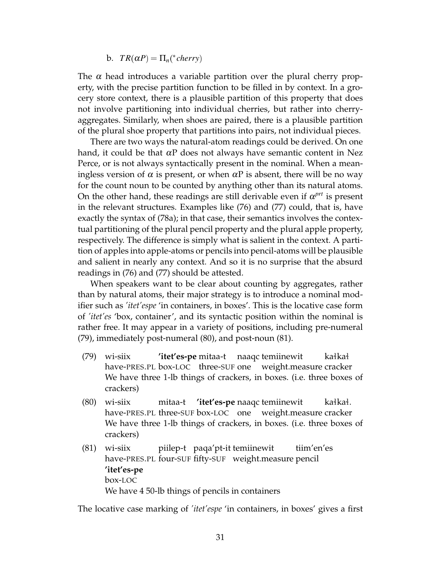b.  $TR(\alpha P) = \Pi_n({}^*cherry)$ 

The  $\alpha$  head introduces a variable partition over the plural cherry property, with the precise partition function to be filled in by context. In a grocery store context, there is a plausible partition of this property that does not involve partitioning into individual cherries, but rather into cherryaggregates. Similarly, when shoes are paired, there is a plausible partition of the plural shoe property that partitions into pairs, not individual pieces.

There are two ways the natural-atom readings could be derived. On one hand, it could be that  $\alpha P$  does not always have semantic content in Nez Perce, or is not always syntactically present in the nominal. When a meaningless version of  $\alpha$  is present, or when  $\alpha P$  is absent, there will be no way for the count noun to be counted by anything other than its natural atoms. On the other hand, these readings are still derivable even if  $\alpha^{prt}$  is present in the relevant structures. Examples like (76) and (77) could, that is, have exactly the syntax of (78a); in that case, their semantics involves the contextual partitioning of the plural pencil property and the plural apple property, respectively. The difference is simply what is salient in the context. A partition of apples into apple-atoms or pencils into pencil-atoms will be plausible and salient in nearly any context. And so it is no surprise that the absurd readings in (76) and (77) should be attested.

When speakers want to be clear about counting by aggregates, rather than by natural atoms, their major strategy is to introduce a nominal modifier such as *'itet'espe* 'in containers, in boxes'. This is the locative case form of *'itet'es* 'box, container', and its syntactic position within the nominal is rather free. It may appear in a variety of positions, including pre-numeral (79), immediately post-numeral (80), and post-noun (81).

- (79) wi-siix have-PRES.PL box-LOC three-SUF one **'itet'es-pe** mitaa-t naaqc temiinewit weight.measure cracker kałkał We have three 1-lb things of crackers, in boxes. (i.e. three boxes of crackers)
- (80) wi-siix have-PRES.PL three-SUF box-LOC one mitaa-t **'itet'es-pe** naaqc temiinewit weight.measure cracker kałkał. We have three 1-lb things of crackers, in boxes. (i.e. three boxes of crackers)
- (81) wi-siix have-PRES.PL four-SUF fifty-SUF weight.measure pencil piilep-t paqa'pt-it temiinewit tiim'en'es **'itet'es-pe** box-LOC We have 4 50-lb things of pencils in containers

The locative case marking of *'itet'espe* 'in containers, in boxes' gives a first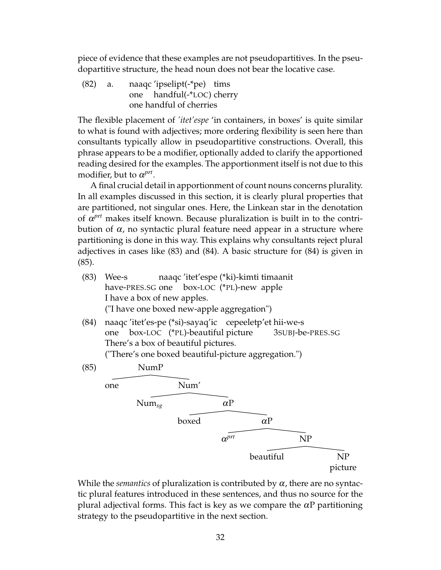piece of evidence that these examples are not pseudopartitives. In the pseudopartitive structure, the head noun does not bear the locative case.

(82) a. naaqc 'ipselipt(-\*pe) tims one handful(-\*LOC) cherry one handful of cherries

The flexible placement of *'itet'espe* 'in containers, in boxes' is quite similar to what is found with adjectives; more ordering flexibility is seen here than consultants typically allow in pseudopartitive constructions. Overall, this phrase appears to be a modifier, optionally added to clarify the apportioned reading desired for the examples. The apportionment itself is not due to this modifier, but to  $\alpha^{prt}$ .

A final crucial detail in apportionment of count nouns concerns plurality. In all examples discussed in this section, it is clearly plural properties that are partitioned, not singular ones. Here, the Linkean star in the denotation of  $\alpha$ <sup>prt</sup> makes itself known. Because pluralization is built in to the contribution of  $\alpha$ , no syntactic plural feature need appear in a structure where partitioning is done in this way. This explains why consultants reject plural adjectives in cases like (83) and (84). A basic structure for (84) is given in (85).

- (83) Wee-s have-PRES.SG one naaqc 'itet'espe (\*ki)-kimti timaanit box-LOC (\*PL)-new apple I have a box of new apples. ("I have one boxed new-apple aggregation")
- (84) naaqc 'itet'es-pe (\*si)-sayaq'ic cepeeletp'et hii-we-s one box-LOC (\*PL)-beautiful picture 3SUBJ-be-PRES.SG There's a box of beautiful pictures.

("There's one boxed beautiful-picture aggregation.")



While the *semantics* of pluralization is contributed by  $\alpha$ , there are no syntactic plural features introduced in these sentences, and thus no source for the plural adjectival forms. This fact is key as we compare the  $\alpha P$  partitioning strategy to the pseudopartitive in the next section.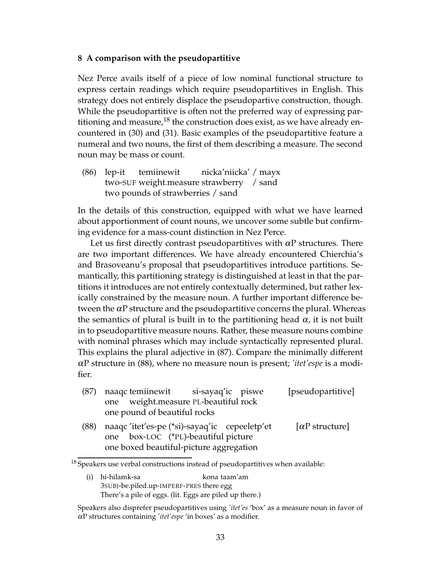## **8 A comparison with the pseudopartitive**

Nez Perce avails itself of a piece of low nominal functional structure to express certain readings which require pseudopartitives in English. This strategy does not entirely displace the pseudopartive construction, though. While the pseudopartitive is often not the preferred way of expressing partitioning and measure,<sup>18</sup> the construction does exist, as we have already encountered in (30) and (31). Basic examples of the pseudopartitive feature a numeral and two nouns, the first of them describing a measure. The second noun may be mass or count.

(86) lep-it two-SUF weight.measure strawberry / sand temiinewit nicka'niicka' / mayx two pounds of strawberries / sand

In the details of this construction, equipped with what we have learned about apportionment of count nouns, we uncover some subtle but confirming evidence for a mass-count distinction in Nez Perce.

Let us first directly contrast pseudopartitives with  $\alpha P$  structures. There are two important differences. We have already encountered Chierchia's and Brasoveanu's proposal that pseudopartitives introduce partitions. Semantically, this partitioning strategy is distinguished at least in that the partitions it introduces are not entirely contextually determined, but rather lexically constrained by the measure noun. A further important difference between the  $\alpha$ P structure and the pseudopartitive concerns the plural. Whereas the semantics of plural is built in to the partitioning head  $\alpha$ , it is not built in to pseudopartitive measure nouns. Rather, these measure nouns combine with nominal phrases which may include syntactically represented plural. This explains the plural adjective in (87). Compare the minimally different <sup>α</sup>P structure in (88), where no measure noun is present; *'itet'espe* is a modifier.

- (87) naaqc temiinewit one weight.measure PL-beautiful rock si-sayaq'ic piswe [pseudopartitive] one pound of beautiful rocks (88) naaqc 'itet'es-pe (\*si)-sayaq'ic cepeeletp'et [ $\alpha$ P structure]
- one box-LOC (\*PL)-beautiful picture one boxed beautiful-picture aggregation

 $18$  Speakers use verbal constructions instead of pseudopartitives when available:

<sup>(</sup>i) hi-hilamk-sa 3SUBJ-be.piled.up-IMPERF-PRES there egg kona taam'am There's a pile of eggs. (lit. Eggs are piled up there.)

Speakers also disprefer pseudopartitives using *'itet'es* 'box' as a measure noun in favor of <sup>α</sup>P structures containing *'itet'espe* 'in boxes' as a modifier.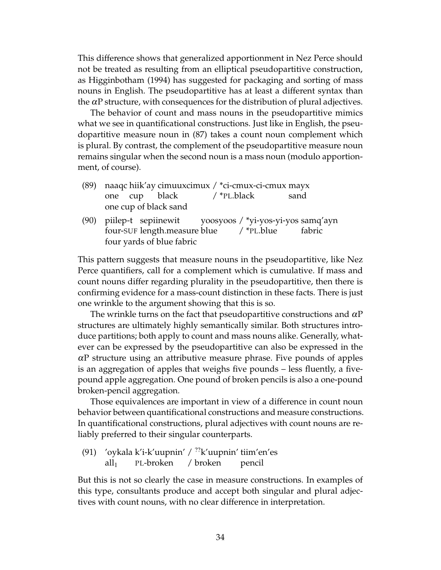This difference shows that generalized apportionment in Nez Perce should not be treated as resulting from an elliptical pseudopartitive construction, as Higginbotham (1994) has suggested for packaging and sorting of mass nouns in English. The pseudopartitive has at least a different syntax than the  $\alpha$ P structure, with consequences for the distribution of plural adjectives.

The behavior of count and mass nouns in the pseudopartitive mimics what we see in quantificational constructions. Just like in English, the pseudopartitive measure noun in (87) takes a count noun complement which is plural. By contrast, the complement of the pseudopartitive measure noun remains singular when the second noun is a mass noun (modulo apportionment, of course).

| (89) naaqc hiik'ay cimuuxcimux / *ci-cmux-ci-cmux mayx |  |               |             |                                               |                                                             |  |
|--------------------------------------------------------|--|---------------|-------------|-----------------------------------------------|-------------------------------------------------------------|--|
|                                                        |  | one cup black | / *PL.black |                                               | sand                                                        |  |
| one cup of black sand                                  |  |               |             |                                               |                                                             |  |
|                                                        |  |               |             |                                               | (90) piilep-t sepiinewit yoosyoos / *yi-yos-yi-yos samq'ayn |  |
|                                                        |  |               |             | four-SUF length.measure blue /*PL.blue fabric |                                                             |  |

four yards of blue fabric

This pattern suggests that measure nouns in the pseudopartitive, like Nez Perce quantifiers, call for a complement which is cumulative. If mass and count nouns differ regarding plurality in the pseudopartitive, then there is confirming evidence for a mass-count distinction in these facts. There is just one wrinkle to the argument showing that this is so.

The wrinkle turns on the fact that pseudopartitive constructions and  $\alpha P$ structures are ultimately highly semantically similar. Both structures introduce partitions; both apply to count and mass nouns alike. Generally, whatever can be expressed by the pseudopartitive can also be expressed in the  $\alpha$ P structure using an attributive measure phrase. Five pounds of apples is an aggregation of apples that weighs five pounds – less fluently, a fivepound apple aggregation. One pound of broken pencils is also a one-pound broken-pencil aggregation.

Those equivalences are important in view of a difference in count noun behavior between quantificational constructions and measure constructions. In quantificational constructions, plural adjectives with count nouns are reliably preferred to their singular counterparts.

(91) 'oykala k'i-k'uupnin' / <sup>??</sup>k'uupnin' tiim'en'es  $all<sub>1</sub>$ PL-broken / broken pencil

But this is not so clearly the case in measure constructions. In examples of this type, consultants produce and accept both singular and plural adjectives with count nouns, with no clear difference in interpretation.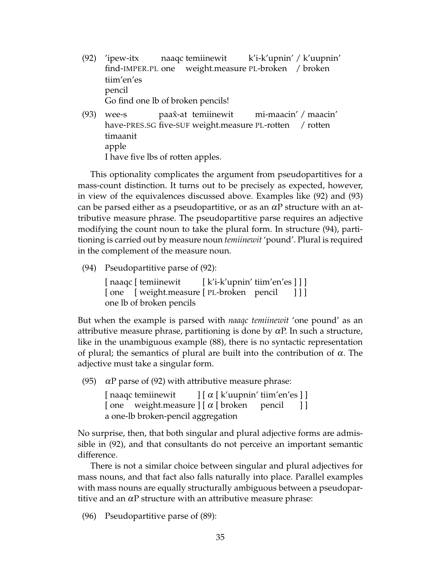- (92) 'ipew-itx find-IMPER.PL one weight.measure PL-broken / broken naaqc temiinewit k'i-k'upnin' / k'uupnin' tiim'en'es pencil Go find one lb of broken pencils!
- (93) wee-s have-PRES.SG five-SUF weight.measure PL-rotten paax̂-at temiinewit mi-maacin' / maacin' / rotten timaanit apple I have five lbs of rotten apples.

This optionality complicates the argument from pseudopartitives for a mass-count distinction. It turns out to be precisely as expected, however, in view of the equivalences discussed above. Examples like (92) and (93) can be parsed either as a pseudopartitive, or as an  $\alpha P$  structure with an attributive measure phrase. The pseudopartitive parse requires an adjective modifying the count noun to take the plural form. In structure (94), partitioning is carried out by measure noun *temiinewit* 'pound'. Plural is required in the complement of the measure noun.

(94) Pseudopartitive parse of (92):

[ naaqc [ temiinewit [ one [ weight.measure [ PL-broken pencil [ k'i-k'upnin' tiim'en'es ] ] ] ] ] ] one lb of broken pencils

But when the example is parsed with *naaqc temiinewit* 'one pound' as an attributive measure phrase, partitioning is done by  $\alpha$ P. In such a structure, like in the unambiguous example (88), there is no syntactic representation of plural; the semantics of plural are built into the contribution of  $\alpha$ . The adjective must take a singular form.

(95)  $\alpha$ P parse of (92) with attributive measure phrase:

[ naaqc temiinewit [ one weight.measure ] [  $\alpha$  [ broken  $\,$ ] [  $\alpha$  [ k′uupnin′ tiim′en′es ] ] pencil ] ] a one-lb broken-pencil aggregation

No surprise, then, that both singular and plural adjective forms are admissible in (92), and that consultants do not perceive an important semantic difference.

There is not a similar choice between singular and plural adjectives for mass nouns, and that fact also falls naturally into place. Parallel examples with mass nouns are equally structurally ambiguous between a pseudopartitive and an  $\alpha$ P structure with an attributive measure phrase:

(96) Pseudopartitive parse of (89):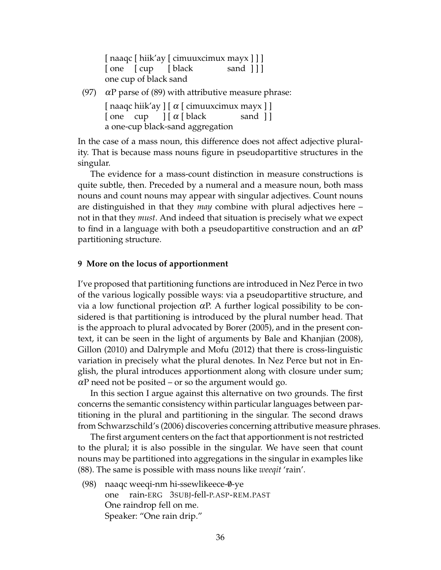[ naaqc [ hiik'ay [ cimuuxcimux mayx ] ] ] [ one [ cup [ black sand ] ] ] one cup of black sand

(97)  $\alpha$ P parse of (89) with attributive measure phrase:

[ naaqc hiik'ay ] [ α [ cimuuxcimux mayx ] ] [one cup ] [ α [ black sand ] ] a one-cup black-sand aggregation

In the case of a mass noun, this difference does not affect adjective plurality. That is because mass nouns figure in pseudopartitive structures in the singular.

The evidence for a mass-count distinction in measure constructions is quite subtle, then. Preceded by a numeral and a measure noun, both mass nouns and count nouns may appear with singular adjectives. Count nouns are distinguished in that they *may* combine with plural adjectives here – not in that they *must*. And indeed that situation is precisely what we expect to find in a language with both a pseudopartitive construction and an  $\alpha P$ partitioning structure.

### **9 More on the locus of apportionment**

I've proposed that partitioning functions are introduced in Nez Perce in two of the various logically possible ways: via a pseudopartitive structure, and via a low functional projection <sup>α</sup>P. A further logical possibility to be considered is that partitioning is introduced by the plural number head. That is the approach to plural advocated by Borer (2005), and in the present context, it can be seen in the light of arguments by Bale and Khanjian (2008), Gillon (2010) and Dalrymple and Mofu (2012) that there is cross-linguistic variation in precisely what the plural denotes. In Nez Perce but not in English, the plural introduces apportionment along with closure under sum;  $\alpha$ P need not be posited – or so the argument would go.

In this section I argue against this alternative on two grounds. The first concerns the semantic consistency within particular languages between partitioning in the plural and partitioning in the singular. The second draws from Schwarzschild's (2006) discoveries concerning attributive measure phrases.

The first argument centers on the fact that apportionment is not restricted to the plural; it is also possible in the singular. We have seen that count nouns may be partitioned into aggregations in the singular in examples like (88). The same is possible with mass nouns like *weeqit* 'rain'.

(98) naaqc weeqi-nm hi-ssewlikeece-0-ye one rain-ERG 3SUBJ-fell-P.ASP-REM.PAST One raindrop fell on me. Speaker: "One rain drip."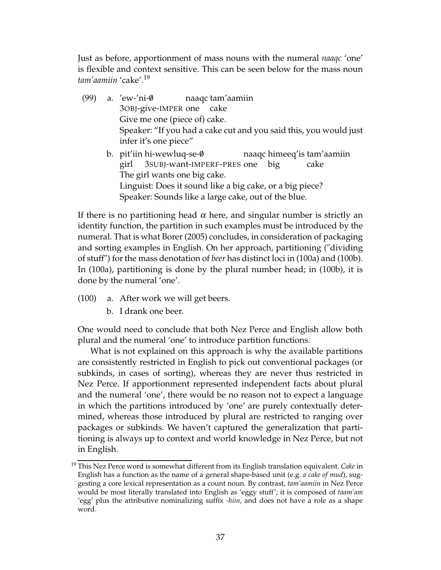Just as before, apportionment of mass nouns with the numeral *naaqc* 'one' is flexible and context sensitive. This can be seen below for the mass noun *tam'aamiin* 'cake'.<sup>19</sup>

- (99) a. 'ew-'ni- $\emptyset$ 3OBJ-give-IMPER one cake naaqc tam'aamiin Give me one (piece of) cake. Speaker: "If you had a cake cut and you said this, you would just infer it's one piece"
	- b. pit'iin hi-wewluq-se-0 girl 3SUBJ-want-IMPERF-PRES one big naaqc himeeq'is tam'aamiin cake The girl wants one big cake. Linguist: Does it sound like a big cake, or a big piece? Speaker: Sounds like a large cake, out of the blue.

If there is no partitioning head  $\alpha$  here, and singular number is strictly an identity function, the partition in such examples must be introduced by the numeral. That is what Borer (2005) concludes, in consideration of packaging and sorting examples in English. On her approach, partitioning ("dividing of stuff") for the mass denotation of *beer* has distinct loci in (100a) and (100b). In (100a), partitioning is done by the plural number head; in (100b), it is done by the numeral 'one'.

- (100) a. After work we will get beers.
	- b. I drank one beer.

One would need to conclude that both Nez Perce and English allow both plural and the numeral 'one' to introduce partition functions.

What is not explained on this approach is why the available partitions are consistently restricted in English to pick out conventional packages (or subkinds, in cases of sorting), whereas they are never thus restricted in Nez Perce. If apportionment represented independent facts about plural and the numeral 'one', there would be no reason not to expect a language in which the partitions introduced by 'one' are purely contextually determined, whereas those introduced by plural are restricted to ranging over packages or subkinds. We haven't captured the generalization that partitioning is always up to context and world knowledge in Nez Perce, but not in English.

<sup>19</sup> This Nez Perce word is somewhat different from its English translation equivalent. *Cake* in English has a function as the name of a general shape-based unit (e.g. *a cake of mud*), suggesting a core lexical representation as a count noun. By contrast, *tam'aamiin* in Nez Perce would be most literally translated into English as 'eggy stuff'; it is composed of *taam'am* 'egg' plus the attributive nominalizing suffix *-hiin*, and does not have a role as a shape word.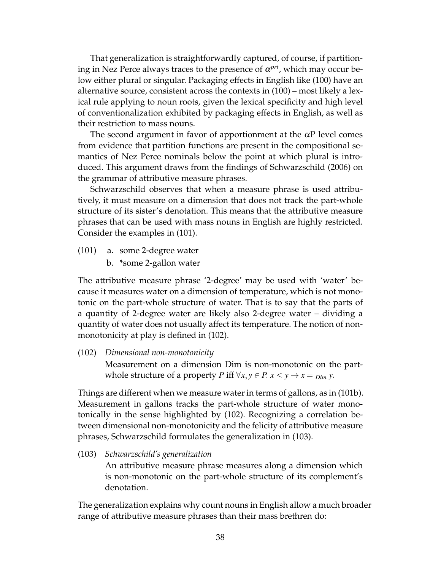That generalization is straightforwardly captured, of course, if partitioning in Nez Perce always traces to the presence of  $\alpha^{prt}$ , which may occur below either plural or singular. Packaging effects in English like (100) have an alternative source, consistent across the contexts in (100) – most likely a lexical rule applying to noun roots, given the lexical specificity and high level of conventionalization exhibited by packaging effects in English, as well as their restriction to mass nouns.

The second argument in favor of apportionment at the  $\alpha P$  level comes from evidence that partition functions are present in the compositional semantics of Nez Perce nominals below the point at which plural is introduced. This argument draws from the findings of Schwarzschild (2006) on the grammar of attributive measure phrases.

Schwarzschild observes that when a measure phrase is used attributively, it must measure on a dimension that does not track the part-whole structure of its sister's denotation. This means that the attributive measure phrases that can be used with mass nouns in English are highly restricted. Consider the examples in (101).

- (101) a. some 2-degree water
	- b. \*some 2-gallon water

The attributive measure phrase '2-degree' may be used with 'water' because it measures water on a dimension of temperature, which is not monotonic on the part-whole structure of water. That is to say that the parts of a quantity of 2-degree water are likely also 2-degree water – dividing a quantity of water does not usually affect its temperature. The notion of nonmonotonicity at play is defined in (102).

(102) *Dimensional non-monotonicity*

Measurement on a dimension Dim is non-monotonic on the partwhole structure of a property *P* iff  $\forall x, y \in P$ .  $x \le y \rightarrow x = D_{im} y$ .

Things are different when we measure water in terms of gallons, as in (101b). Measurement in gallons tracks the part-whole structure of water monotonically in the sense highlighted by (102). Recognizing a correlation between dimensional non-monotonicity and the felicity of attributive measure phrases, Schwarzschild formulates the generalization in (103).

(103) *Schwarzschild's generalization*

An attributive measure phrase measures along a dimension which is non-monotonic on the part-whole structure of its complement's denotation.

The generalization explains why count nouns in English allow a much broader range of attributive measure phrases than their mass brethren do: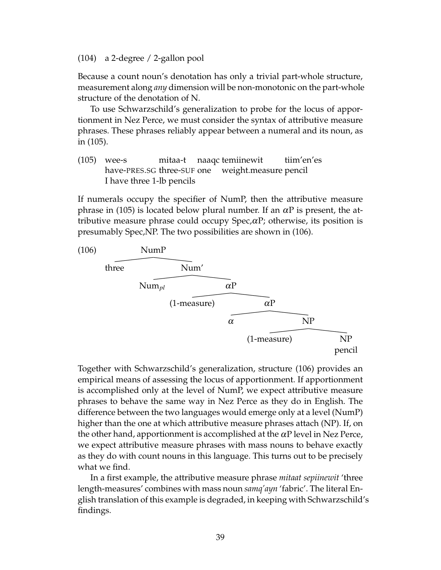(104) a 2-degree / 2-gallon pool

Because a count noun's denotation has only a trivial part-whole structure, measurement along *any* dimension will be non-monotonic on the part-whole structure of the denotation of N.

To use Schwarzschild's generalization to probe for the locus of apportionment in Nez Perce, we must consider the syntax of attributive measure phrases. These phrases reliably appear between a numeral and its noun, as in (105).

(105) wee-s have-PRES.SG three-SUF one mitaa-t naaqc temiinewit weight.measure pencil tiim'en'es I have three 1-lb pencils

If numerals occupy the specifier of NumP, then the attributive measure phrase in (105) is located below plural number. If an  $\alpha$ P is present, the attributive measure phrase could occupy Spec, $\alpha$ P; otherwise, its position is presumably Spec,NP. The two possibilities are shown in (106).



Together with Schwarzschild's generalization, structure (106) provides an empirical means of assessing the locus of apportionment. If apportionment is accomplished only at the level of NumP, we expect attributive measure phrases to behave the same way in Nez Perce as they do in English. The difference between the two languages would emerge only at a level (NumP) higher than the one at which attributive measure phrases attach (NP). If, on the other hand, apportionment is accomplished at the  $\alpha P$  level in Nez Perce, we expect attributive measure phrases with mass nouns to behave exactly as they do with count nouns in this language. This turns out to be precisely what we find.

In a first example, the attributive measure phrase *mitaat sepiinewit* 'three length-measures' combines with mass noun *samq'ayn* 'fabric'. The literal English translation of this example is degraded, in keeping with Schwarzschild's findings.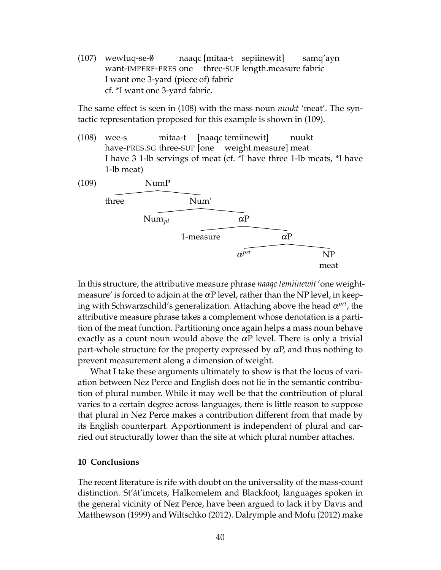$(107)$  wewluq-se- $\emptyset$ want-IMPERF-PRES one naaqc [mitaa-t sepiinewit] three-SUF length.measure fabric samq'ayn I want one 3-yard (piece of) fabric cf. \*I want one 3-yard fabric.

The same effect is seen in (108) with the mass noun *nuukt* 'meat'. The syntactic representation proposed for this example is shown in (109).

(108) wee-s have-PRES.SG three-SUF [one mitaa-t [naaqc temiinewit] weight.measure] meat nuukt I have 3 1-lb servings of meat (cf. \*I have three 1-lb meats, \*I have 1-lb meat)



In this structure, the attributive measure phrase *naaqc temiinewit* 'one weightmeasure' is forced to adjoin at the  $\alpha$ P level, rather than the NP level, in keeping with Schwarzschild's generalization. Attaching above the head α<sup>*prt*</sup>, the attributive measure phrase takes a complement whose denotation is a partition of the meat function. Partitioning once again helps a mass noun behave exactly as a count noun would above the  $\alpha P$  level. There is only a trivial part-whole structure for the property expressed by  $\alpha P$ , and thus nothing to prevent measurement along a dimension of weight.

What I take these arguments ultimately to show is that the locus of variation between Nez Perce and English does not lie in the semantic contribution of plural number. While it may well be that the contribution of plural varies to a certain degree across languages, there is little reason to suppose that plural in Nez Perce makes a contribution different from that made by its English counterpart. Apportionment is independent of plural and carried out structurally lower than the site at which plural number attaches.

## **10 Conclusions**

The recent literature is rife with doubt on the universality of the mass-count distinction. St'át'imcets, Halkomelem and Blackfoot, languages spoken in the general vicinity of Nez Perce, have been argued to lack it by Davis and Matthewson (1999) and Wiltschko (2012). Dalrymple and Mofu (2012) make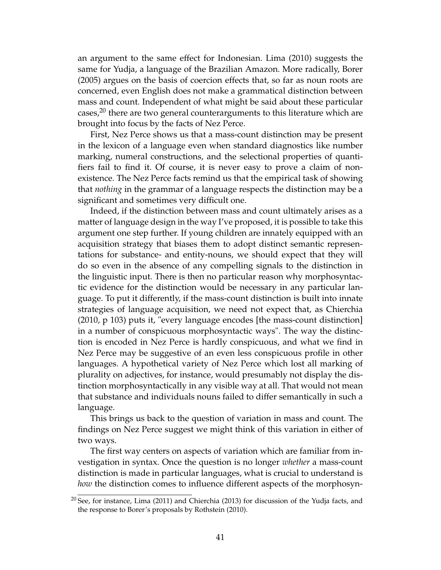an argument to the same effect for Indonesian. Lima (2010) suggests the same for Yudja, a language of the Brazilian Amazon. More radically, Borer (2005) argues on the basis of coercion effects that, so far as noun roots are concerned, even English does not make a grammatical distinction between mass and count. Independent of what might be said about these particular cases,<sup>20</sup> there are two general counterarguments to this literature which are brought into focus by the facts of Nez Perce.

First, Nez Perce shows us that a mass-count distinction may be present in the lexicon of a language even when standard diagnostics like number marking, numeral constructions, and the selectional properties of quantifiers fail to find it. Of course, it is never easy to prove a claim of nonexistence. The Nez Perce facts remind us that the empirical task of showing that *nothing* in the grammar of a language respects the distinction may be a significant and sometimes very difficult one.

Indeed, if the distinction between mass and count ultimately arises as a matter of language design in the way I've proposed, it is possible to take this argument one step further. If young children are innately equipped with an acquisition strategy that biases them to adopt distinct semantic representations for substance- and entity-nouns, we should expect that they will do so even in the absence of any compelling signals to the distinction in the linguistic input. There is then no particular reason why morphosyntactic evidence for the distinction would be necessary in any particular language. To put it differently, if the mass-count distinction is built into innate strategies of language acquisition, we need not expect that, as Chierchia (2010, p 103) puts it, "every language encodes [the mass-count distinction] in a number of conspicuous morphosyntactic ways". The way the distinction is encoded in Nez Perce is hardly conspicuous, and what we find in Nez Perce may be suggestive of an even less conspicuous profile in other languages. A hypothetical variety of Nez Perce which lost all marking of plurality on adjectives, for instance, would presumably not display the distinction morphosyntactically in any visible way at all. That would not mean that substance and individuals nouns failed to differ semantically in such a language.

This brings us back to the question of variation in mass and count. The findings on Nez Perce suggest we might think of this variation in either of two ways.

The first way centers on aspects of variation which are familiar from investigation in syntax. Once the question is no longer *whether* a mass-count distinction is made in particular languages, what is crucial to understand is *how* the distinction comes to influence different aspects of the morphosyn-

 $20$  See, for instance, Lima (2011) and Chierchia (2013) for discussion of the Yudja facts, and the response to Borer's proposals by Rothstein (2010).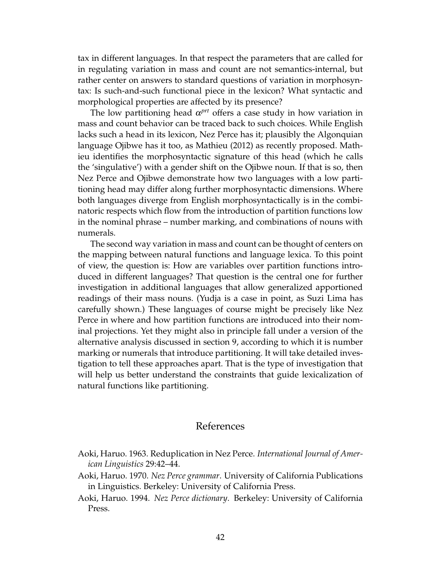tax in different languages. In that respect the parameters that are called for in regulating variation in mass and count are not semantics-internal, but rather center on answers to standard questions of variation in morphosyntax: Is such-and-such functional piece in the lexicon? What syntactic and morphological properties are affected by its presence?

The low partitioning head  $\alpha^{prt}$  offers a case study in how variation in mass and count behavior can be traced back to such choices. While English lacks such a head in its lexicon, Nez Perce has it; plausibly the Algonquian language Ojibwe has it too, as Mathieu (2012) as recently proposed. Mathieu identifies the morphosyntactic signature of this head (which he calls the 'singulative') with a gender shift on the Ojibwe noun. If that is so, then Nez Perce and Ojibwe demonstrate how two languages with a low partitioning head may differ along further morphosyntactic dimensions. Where both languages diverge from English morphosyntactically is in the combinatoric respects which flow from the introduction of partition functions low in the nominal phrase – number marking, and combinations of nouns with numerals.

The second way variation in mass and count can be thought of centers on the mapping between natural functions and language lexica. To this point of view, the question is: How are variables over partition functions introduced in different languages? That question is the central one for further investigation in additional languages that allow generalized apportioned readings of their mass nouns. (Yudja is a case in point, as Suzi Lima has carefully shown.) These languages of course might be precisely like Nez Perce in where and how partition functions are introduced into their nominal projections. Yet they might also in principle fall under a version of the alternative analysis discussed in section 9, according to which it is number marking or numerals that introduce partitioning. It will take detailed investigation to tell these approaches apart. That is the type of investigation that will help us better understand the constraints that guide lexicalization of natural functions like partitioning.

# References

- Aoki, Haruo. 1963. Reduplication in Nez Perce. *International Journal of American Linguistics* 29:42–44.
- Aoki, Haruo. 1970. *Nez Perce grammar*. University of California Publications in Linguistics. Berkeley: University of California Press.
- Aoki, Haruo. 1994. *Nez Perce dictionary*. Berkeley: University of California Press.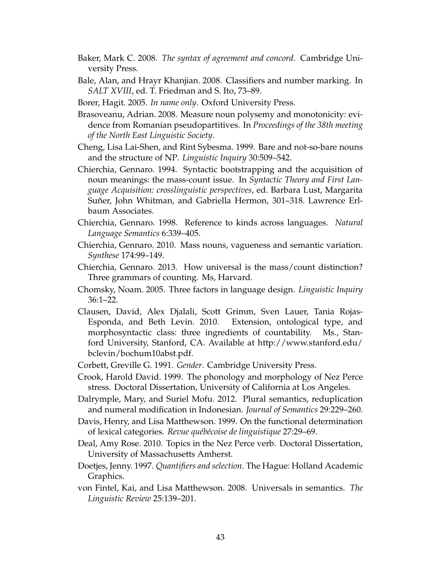- Baker, Mark C. 2008. *The syntax of agreement and concord*. Cambridge University Press.
- Bale, Alan, and Hrayr Khanjian. 2008. Classifiers and number marking. In *SALT XVIII*, ed. T. Friedman and S. Ito, 73–89.
- Borer, Hagit. 2005. *In name only*. Oxford University Press.
- Brasoveanu, Adrian. 2008. Measure noun polysemy and monotonicity: evidence from Romanian pseudopartitives. In *Proceedings of the 38th meeting of the North East Linguistic Society*.
- Cheng, Lisa Lai-Shen, and Rint Sybesma. 1999. Bare and not-so-bare nouns and the structure of NP. *Linguistic Inquiry* 30:509–542.
- Chierchia, Gennaro. 1994. Syntactic bootstrapping and the acquisition of noun meanings: the mass-count issue. In *Syntactic Theory and First Language Acquisition: crosslinguistic perspectives*, ed. Barbara Lust, Margarita Suñer, John Whitman, and Gabriella Hermon, 301–318. Lawrence Erlbaum Associates.
- Chierchia, Gennaro. 1998. Reference to kinds across languages. *Natural Language Semantics* 6:339–405.
- Chierchia, Gennaro. 2010. Mass nouns, vagueness and semantic variation. *Synthese* 174:99–149.
- Chierchia, Gennaro. 2013. How universal is the mass/count distinction? Three grammars of counting. Ms, Harvard.
- Chomsky, Noam. 2005. Three factors in language design. *Linguistic Inquiry* 36:1–22.
- Clausen, David, Alex Djalali, Scott Grimm, Sven Lauer, Tania Rojas-Esponda, and Beth Levin. 2010. Extension, ontological type, and morphosyntactic class: three ingredients of countability. Ms., Stanford University, Stanford, CA. Available at http://www.stanford.edu/ bclevin/bochum10abst.pdf.
- Corbett, Greville G. 1991. *Gender*. Cambridge University Press.
- Crook, Harold David. 1999. The phonology and morphology of Nez Perce stress. Doctoral Dissertation, University of California at Los Angeles.
- Dalrymple, Mary, and Suriel Mofu. 2012. Plural semantics, reduplication and numeral modification in Indonesian. *Journal of Semantics* 29:229–260.
- Davis, Henry, and Lisa Matthewson. 1999. On the functional determination of lexical categories. *Revue québécoise de linguistique* 27:29–69.
- Deal, Amy Rose. 2010. Topics in the Nez Perce verb. Doctoral Dissertation, University of Massachusetts Amherst.
- Doetjes, Jenny. 1997. *Quantifiers and selection*. The Hague: Holland Academic Graphics.
- von Fintel, Kai, and Lisa Matthewson. 2008. Universals in semantics. *The Linguistic Review* 25:139–201.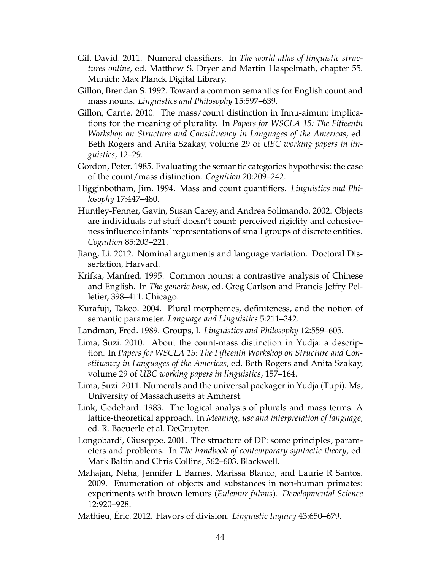- Gil, David. 2011. Numeral classifiers. In *The world atlas of linguistic structures online*, ed. Matthew S. Dryer and Martin Haspelmath, chapter 55. Munich: Max Planck Digital Library.
- Gillon, Brendan S. 1992. Toward a common semantics for English count and mass nouns. *Linguistics and Philosophy* 15:597–639.
- Gillon, Carrie. 2010. The mass/count distinction in Innu-aimun: implications for the meaning of plurality. In *Papers for WSCLA 15: The Fifteenth Workshop on Structure and Constituency in Languages of the Americas*, ed. Beth Rogers and Anita Szakay, volume 29 of *UBC working papers in linguistics*, 12–29.
- Gordon, Peter. 1985. Evaluating the semantic categories hypothesis: the case of the count/mass distinction. *Cognition* 20:209–242.
- Higginbotham, Jim. 1994. Mass and count quantifiers. *Linguistics and Philosophy* 17:447–480.
- Huntley-Fenner, Gavin, Susan Carey, and Andrea Solimando. 2002. Objects are individuals but stuff doesn't count: perceived rigidity and cohesiveness influence infants' representations of small groups of discrete entities. *Cognition* 85:203–221.
- Jiang, Li. 2012. Nominal arguments and language variation. Doctoral Dissertation, Harvard.
- Krifka, Manfred. 1995. Common nouns: a contrastive analysis of Chinese and English. In *The generic book*, ed. Greg Carlson and Francis Jeffry Pelletier, 398–411. Chicago.
- Kurafuji, Takeo. 2004. Plural morphemes, definiteness, and the notion of semantic parameter. *Language and Linguistics* 5:211–242.
- Landman, Fred. 1989. Groups, I. *Linguistics and Philosophy* 12:559–605.
- Lima, Suzi. 2010. About the count-mass distinction in Yudja: a description. In *Papers for WSCLA 15: The Fifteenth Workshop on Structure and Constituency in Languages of the Americas*, ed. Beth Rogers and Anita Szakay, volume 29 of *UBC working papers in linguistics*, 157–164.
- Lima, Suzi. 2011. Numerals and the universal packager in Yudja (Tupi). Ms, University of Massachusetts at Amherst.
- Link, Godehard. 1983. The logical analysis of plurals and mass terms: A lattice-theoretical approach. In *Meaning, use and interpretation of language*, ed. R. Baeuerle et al. DeGruyter.
- Longobardi, Giuseppe. 2001. The structure of DP: some principles, parameters and problems. In *The handbook of contemporary syntactic theory*, ed. Mark Baltin and Chris Collins, 562–603. Blackwell.
- Mahajan, Neha, Jennifer L Barnes, Marissa Blanco, and Laurie R Santos. 2009. Enumeration of objects and substances in non-human primates: experiments with brown lemurs (*Eulemur fulvus*). *Developmental Science* 12:920–928.
- Mathieu, Éric. 2012. Flavors of division. *Linguistic Inquiry* 43:650–679.